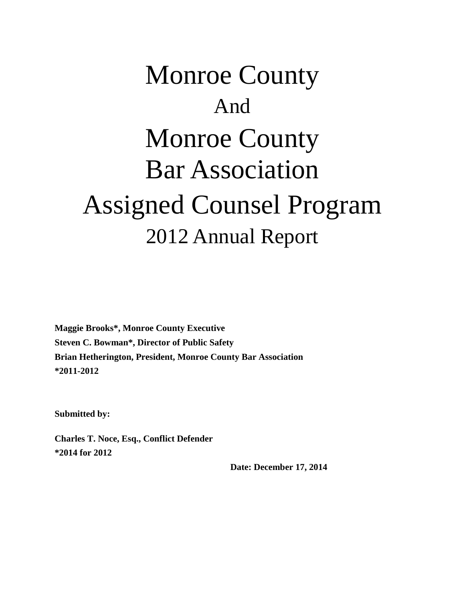# Monroe County And Monroe County Bar Association Assigned Counsel Program 2012 Annual Report

**Maggie Brooks\*, Monroe County Executive Steven C. Bowman\*, Director of Public Safety Brian Hetherington, President, Monroe County Bar Association \*2011-2012**

**Submitted by:**

**Charles T. Noce, Esq., Conflict Defender \*2014 for 2012**

 **Date: December 17, 2014**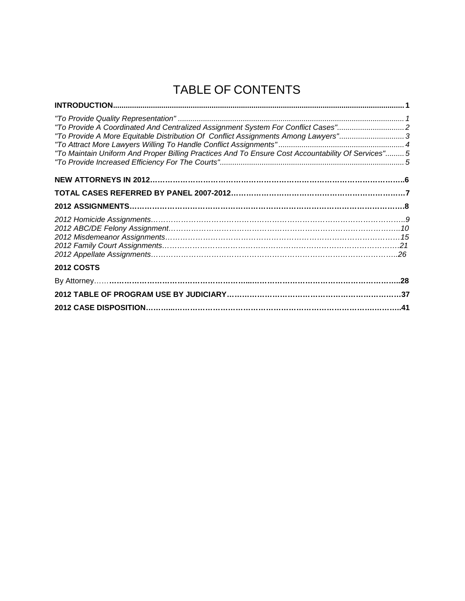# TABLE OF CONTENTS

| "To Provide A Coordinated And Centralized Assignment System For Conflict Cases"<br>"To Provide A More Equitable Distribution Of Conflict Assignments Among Lawyers"3<br>"To Maintain Uniform And Proper Billing Practices And To Ensure Cost Accountability Of Services" 5 |  |
|----------------------------------------------------------------------------------------------------------------------------------------------------------------------------------------------------------------------------------------------------------------------------|--|
|                                                                                                                                                                                                                                                                            |  |
|                                                                                                                                                                                                                                                                            |  |
|                                                                                                                                                                                                                                                                            |  |
|                                                                                                                                                                                                                                                                            |  |
| <b>2012 COSTS</b>                                                                                                                                                                                                                                                          |  |
|                                                                                                                                                                                                                                                                            |  |
|                                                                                                                                                                                                                                                                            |  |
|                                                                                                                                                                                                                                                                            |  |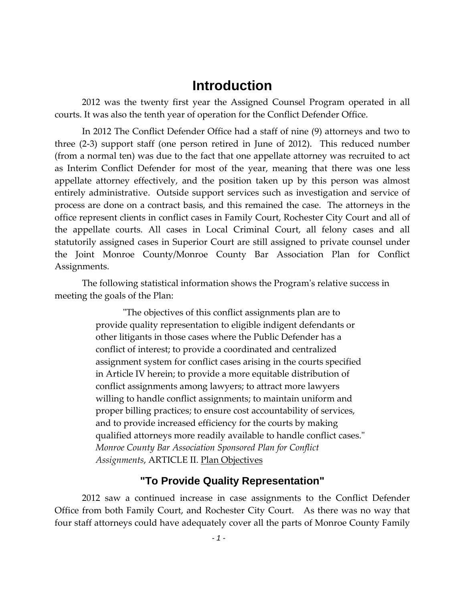### **Introduction**

2012 was the twenty first year the Assigned Counsel Program operated in all courts. It was also the tenth year of operation for the Conflict Defender Office.

In 2012 The Conflict Defender Office had a staff of nine (9) attorneys and two to three (2-3) support staff (one person retired in June of 2012). This reduced number (from a normal ten) was due to the fact that one appellate attorney was recruited to act as Interim Conflict Defender for most of the year, meaning that there was one less appellate attorney effectively, and the position taken up by this person was almost entirely administrative. Outside support services such as investigation and service of process are done on a contract basis, and this remained the case. The attorneys in the office represent clients in conflict cases in Family Court, Rochester City Court and all of the appellate courts. All cases in Local Criminal Court, all felony cases and all statutorily assigned cases in Superior Court are still assigned to private counsel under the Joint Monroe County/Monroe County Bar Association Plan for Conflict Assignments.

The following statistical information shows the Program's relative success in meeting the goals of the Plan:

> "The objectives of this conflict assignments plan are to provide quality representation to eligible indigent defendants or other litigants in those cases where the Public Defender has a conflict of interest; to provide a coordinated and centralized assignment system for conflict cases arising in the courts specified in Article IV herein; to provide a more equitable distribution of conflict assignments among lawyers; to attract more lawyers willing to handle conflict assignments; to maintain uniform and proper billing practices; to ensure cost accountability of services, and to provide increased efficiency for the courts by making qualified attorneys more readily available to handle conflict cases." *Monroe County Bar Association Sponsored Plan for Conflict Assignments*, ARTICLE II. Plan Objectives

#### **"To Provide Quality Representation"**

2012 saw a continued increase in case assignments to the Conflict Defender Office from both Family Court, and Rochester City Court. As there was no way that four staff attorneys could have adequately cover all the parts of Monroe County Family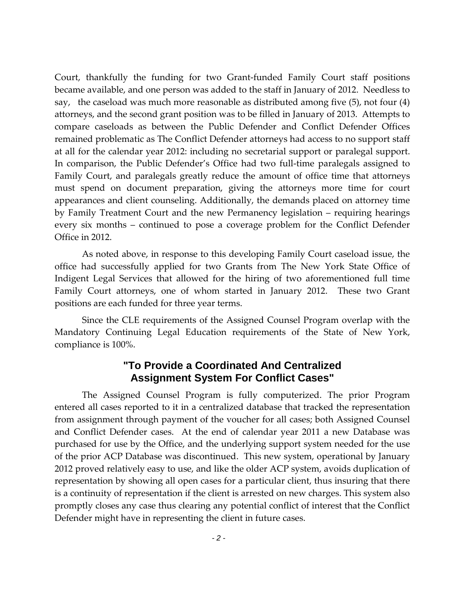Court, thankfully the funding for two Grant-funded Family Court staff positions became available, and one person was added to the staff in January of 2012. Needless to say, the caseload was much more reasonable as distributed among five (5), not four (4) attorneys, and the second grant position was to be filled in January of 2013. Attempts to compare caseloads as between the Public Defender and Conflict Defender Offices remained problematic as The Conflict Defender attorneys had access to no support staff at all for the calendar year 2012: including no secretarial support or paralegal support. In comparison, the Public Defender's Office had two full-time paralegals assigned to Family Court, and paralegals greatly reduce the amount of office time that attorneys must spend on document preparation, giving the attorneys more time for court appearances and client counseling. Additionally, the demands placed on attorney time by Family Treatment Court and the new Permanency legislation – requiring hearings every six months – continued to pose a coverage problem for the Conflict Defender Office in 2012.

As noted above, in response to this developing Family Court caseload issue, the office had successfully applied for two Grants from The New York State Office of Indigent Legal Services that allowed for the hiring of two aforementioned full time Family Court attorneys, one of whom started in January 2012. These two Grant positions are each funded for three year terms.

Since the CLE requirements of the Assigned Counsel Program overlap with the Mandatory Continuing Legal Education requirements of the State of New York, compliance is 100%.

#### **"To Provide a Coordinated And Centralized Assignment System For Conflict Cases"**

The Assigned Counsel Program is fully computerized. The prior Program entered all cases reported to it in a centralized database that tracked the representation from assignment through payment of the voucher for all cases; both Assigned Counsel and Conflict Defender cases. At the end of calendar year 2011 a new Database was purchased for use by the Office, and the underlying support system needed for the use of the prior ACP Database was discontinued. This new system, operational by January 2012 proved relatively easy to use, and like the older ACP system, avoids duplication of representation by showing all open cases for a particular client, thus insuring that there is a continuity of representation if the client is arrested on new charges. This system also promptly closes any case thus clearing any potential conflict of interest that the Conflict Defender might have in representing the client in future cases.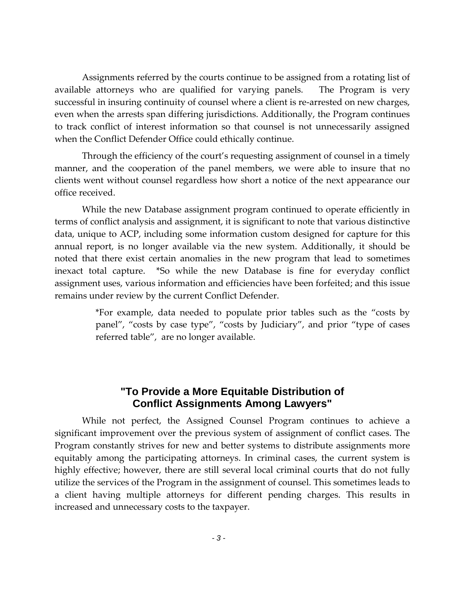Assignments referred by the courts continue to be assigned from a rotating list of available attorneys who are qualified for varying panels. The Program is very successful in insuring continuity of counsel where a client is re-arrested on new charges, even when the arrests span differing jurisdictions. Additionally, the Program continues to track conflict of interest information so that counsel is not unnecessarily assigned when the Conflict Defender Office could ethically continue.

Through the efficiency of the court's requesting assignment of counsel in a timely manner, and the cooperation of the panel members, we were able to insure that no clients went without counsel regardless how short a notice of the next appearance our office received.

While the new Database assignment program continued to operate efficiently in terms of conflict analysis and assignment, it is significant to note that various distinctive data, unique to ACP, including some information custom designed for capture for this annual report, is no longer available via the new system. Additionally, it should be noted that there exist certain anomalies in the new program that lead to sometimes inexact total capture. \*So while the new Database is fine for everyday conflict assignment uses, various information and efficiencies have been forfeited; and this issue remains under review by the current Conflict Defender.

> \*For example, data needed to populate prior tables such as the "costs by panel", "costs by case type", "costs by Judiciary", and prior "type of cases referred table", are no longer available.

#### **"To Provide a More Equitable Distribution of Conflict Assignments Among Lawyers"**

While not perfect, the Assigned Counsel Program continues to achieve a significant improvement over the previous system of assignment of conflict cases. The Program constantly strives for new and better systems to distribute assignments more equitably among the participating attorneys. In criminal cases, the current system is highly effective; however, there are still several local criminal courts that do not fully utilize the services of the Program in the assignment of counsel. This sometimes leads to a client having multiple attorneys for different pending charges. This results in increased and unnecessary costs to the taxpayer.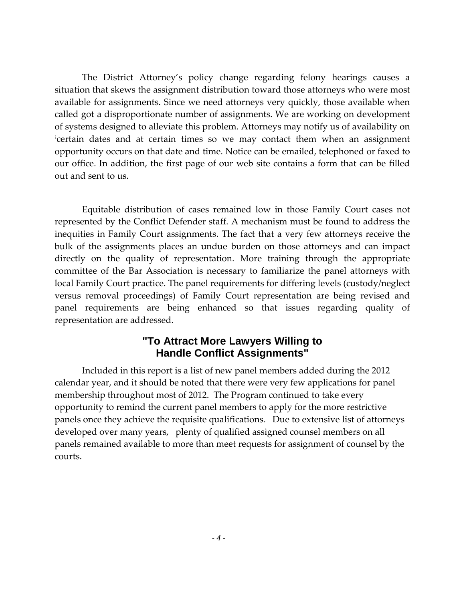The District Attorney's policy change regarding felony hearings causes a situation that skews the assignment distribution toward those attorneys who were most available for assignments. Since we need attorneys very quickly, those available when called got a disproportionate number of assignments. We are working on development of systems designed to alleviate this problem. Attorneys may notify us of availability on [i](#page-8-0) certain dates and at certain times so we may contact them when an assignment opportunity occurs on that date and time. Notice can be emailed, telephoned or faxed to our office. In addition, the first page of our web site contains a form that can be filled out and sent to us.

Equitable distribution of cases remained low in those Family Court cases not represented by the Conflict Defender staff. A mechanism must be found to address the inequities in Family Court assignments. The fact that a very few attorneys receive the bulk of the assignments places an undue burden on those attorneys and can impact directly on the quality of representation. More training through the appropriate committee of the Bar Association is necessary to familiarize the panel attorneys with local Family Court practice. The panel requirements for differing levels (custody/neglect versus removal proceedings) of Family Court representation are being revised and panel requirements are being enhanced so that issues regarding quality of representation are addressed.

### **"To Attract More Lawyers Willing to Handle Conflict Assignments"**

Included in this report is a list of new panel members added during the 2012 calendar year, and it should be noted that there were very few applications for panel membership throughout most of 2012. The Program continued to take every opportunity to remind the current panel members to apply for the more restrictive panels once they achieve the requisite qualifications. Due to extensive list of attorneys developed over many years, plenty of qualified assigned counsel members on all panels remained available to more than meet requests for assignment of counsel by the courts.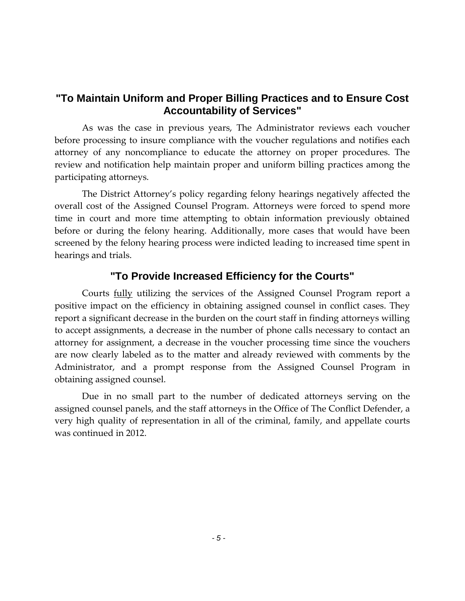### **"To Maintain Uniform and Proper Billing Practices and to Ensure Cost Accountability of Services"**

As was the case in previous years, The Administrator reviews each voucher before processing to insure compliance with the voucher regulations and notifies each attorney of any noncompliance to educate the attorney on proper procedures. The review and notification help maintain proper and uniform billing practices among the participating attorneys.

The District Attorney's policy regarding felony hearings negatively affected the overall cost of the Assigned Counsel Program. Attorneys were forced to spend more time in court and more time attempting to obtain information previously obtained before or during the felony hearing. Additionally, more cases that would have been screened by the felony hearing process were indicted leading to increased time spent in hearings and trials.

### **"To Provide Increased Efficiency for the Courts"**

Courts fully utilizing the services of the Assigned Counsel Program report a positive impact on the efficiency in obtaining assigned counsel in conflict cases. They report a significant decrease in the burden on the court staff in finding attorneys willing to accept assignments, a decrease in the number of phone calls necessary to contact an attorney for assignment, a decrease in the voucher processing time since the vouchers are now clearly labeled as to the matter and already reviewed with comments by the Administrator, and a prompt response from the Assigned Counsel Program in obtaining assigned counsel.

Due in no small part to the number of dedicated attorneys serving on the assigned counsel panels, and the staff attorneys in the Office of The Conflict Defender, a very high quality of representation in all of the criminal, family, and appellate courts was continued in 2012.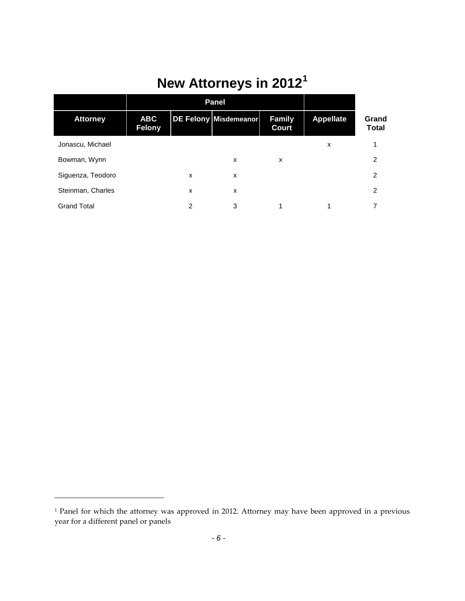# **New Attorneys in 2012[1](#page-7-0)**

|                    | <b>Panel</b>                |   |                       |                        |                  |                       |
|--------------------|-----------------------------|---|-----------------------|------------------------|------------------|-----------------------|
| <b>Attorney</b>    | <b>ABC</b><br><b>Felony</b> |   | DE Felony Misdemeanor | <b>Family</b><br>Court | <b>Appellate</b> | Grand<br><b>Total</b> |
| Jonascu, Michael   |                             |   |                       |                        | x                |                       |
| Bowman, Wynn       |                             |   | X                     | X                      |                  | 2                     |
| Siguenza, Teodoro  |                             | X | X                     |                        |                  | $\overline{2}$        |
| Steinman, Charles  |                             | x | X                     |                        |                  | $\overline{2}$        |
| <b>Grand Total</b> |                             | 2 | 3                     | 1                      | 1                |                       |

 $\overline{\phantom{a}}$ 

<span id="page-7-0"></span><sup>&</sup>lt;sup>1</sup> Panel for which the attorney was approved in 2012. Attorney may have been approved in a previous year for a different panel or panels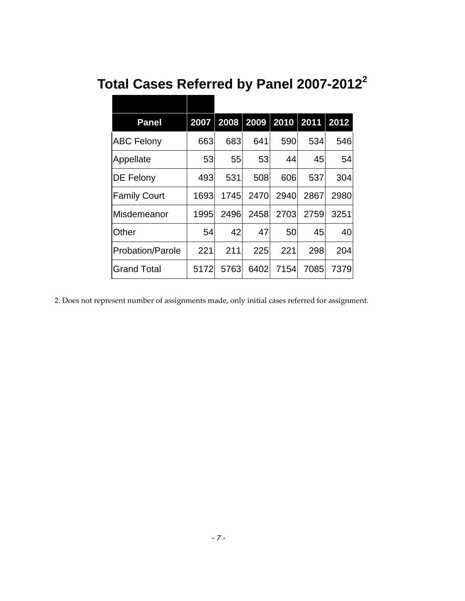|  |  |  |  |  | Total Cases Referred by Panel 2007-2012 $^{\text{2}}$ |  |
|--|--|--|--|--|-------------------------------------------------------|--|
|--|--|--|--|--|-------------------------------------------------------|--|

| <b>Panel</b>            |      | 2007 2008 2009 2010 2011 |      |      |      | 2012 |
|-------------------------|------|--------------------------|------|------|------|------|
| <b>ABC Felony</b>       | 663  | 683                      | 641  | 590  | 534  | 546  |
| Appellate               | 53   | 55                       | 53   | 44   | 451  | 54   |
| DE Felony               | 493  | 531                      | 508  | 606  | 537  | 304  |
| <b>Family Court</b>     | 1693 | 1745                     | 2470 | 2940 | 2867 | 2980 |
| Misdemeanor             | 1995 | 2496                     | 2458 | 2703 | 2759 | 3251 |
| Other                   | 54   | 42                       | 47   | 50   | 45   | 40   |
| <b>Probation/Parole</b> | 221  | 211                      | 225  | 221  | 298  | 204  |
| <b>Grand Total</b>      | 5172 | 5763                     | 6402 | 7154 | 7085 | 7379 |

<span id="page-8-0"></span>2. Does not represent number of assignments made, only initial cases referred for assignment.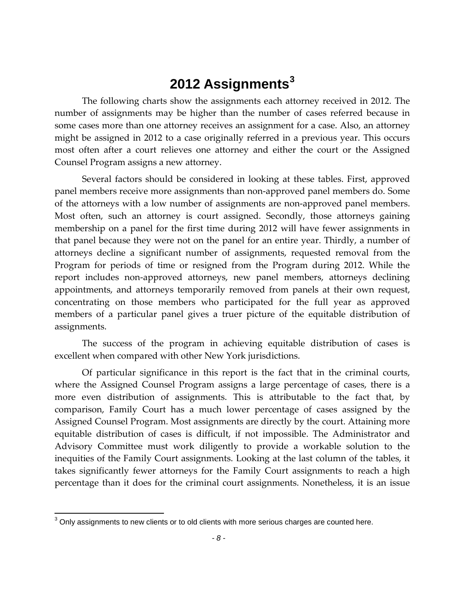# **2012 Assignments[3](#page-9-0)**

The following charts show the assignments each attorney received in 2012. The number of assignments may be higher than the number of cases referred because in some cases more than one attorney receives an assignment for a case. Also, an attorney might be assigned in 2012 to a case originally referred in a previous year. This occurs most often after a court relieves one attorney and either the court or the Assigned Counsel Program assigns a new attorney.

Several factors should be considered in looking at these tables. First, approved panel members receive more assignments than non-approved panel members do. Some of the attorneys with a low number of assignments are non-approved panel members. Most often, such an attorney is court assigned. Secondly, those attorneys gaining membership on a panel for the first time during 2012 will have fewer assignments in that panel because they were not on the panel for an entire year. Thirdly, a number of attorneys decline a significant number of assignments, requested removal from the Program for periods of time or resigned from the Program during 2012. While the report includes non-approved attorneys, new panel members, attorneys declining appointments, and attorneys temporarily removed from panels at their own request, concentrating on those members who participated for the full year as approved members of a particular panel gives a truer picture of the equitable distribution of assignments.

The success of the program in achieving equitable distribution of cases is excellent when compared with other New York jurisdictions.

Of particular significance in this report is the fact that in the criminal courts, where the Assigned Counsel Program assigns a large percentage of cases, there is a more even distribution of assignments. This is attributable to the fact that, by comparison, Family Court has a much lower percentage of cases assigned by the Assigned Counsel Program. Most assignments are directly by the court. Attaining more equitable distribution of cases is difficult, if not impossible. The Administrator and Advisory Committee must work diligently to provide a workable solution to the inequities of the Family Court assignments. Looking at the last column of the tables, it takes significantly fewer attorneys for the Family Court assignments to reach a high percentage than it does for the criminal court assignments. Nonetheless, it is an issue

<span id="page-9-0"></span> $3$  Only assignments to new clients or to old clients with more serious charges are counted here.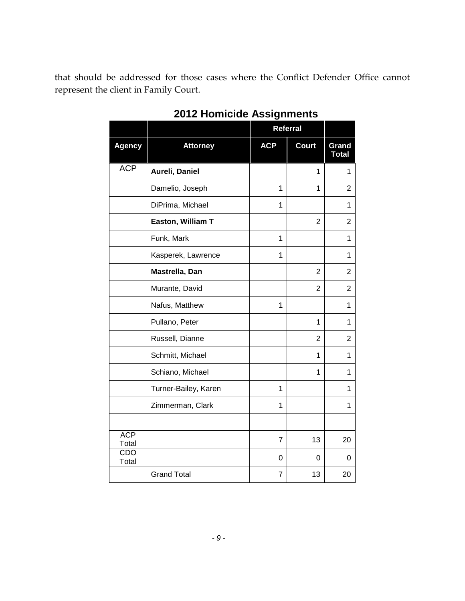that should be addressed for those cases where the Conflict Defender Office cannot represent the client in Family Court.

|                     |                      | Referral       |                |                       |
|---------------------|----------------------|----------------|----------------|-----------------------|
| <b>Agency</b>       | <b>Attorney</b>      | <b>ACP</b>     | <b>Court</b>   | Grand<br><b>Total</b> |
| <b>ACP</b>          | Aureli, Daniel       |                | $\mathbf{1}$   | $\mathbf{1}$          |
|                     | Damelio, Joseph      | 1              | 1              | 2                     |
|                     | DiPrima, Michael     | 1              |                | 1                     |
|                     | Easton, William T    |                | $\overline{2}$ | 2                     |
|                     | Funk, Mark           | 1              |                | 1                     |
|                     | Kasperek, Lawrence   | 1              |                | $\mathbf{1}$          |
|                     | Mastrella, Dan       |                | $\overline{2}$ | 2                     |
|                     | Murante, David       |                | $\overline{2}$ | $\overline{2}$        |
|                     | Nafus, Matthew       | $\mathbf{1}$   |                | 1                     |
|                     | Pullano, Peter       |                | 1              | 1                     |
|                     | Russell, Dianne      |                | $\overline{2}$ | $\overline{2}$        |
|                     | Schmitt, Michael     |                | 1              | 1                     |
|                     | Schiano, Michael     |                | 1              | $\mathbf 1$           |
|                     | Turner-Bailey, Karen | 1              |                | 1                     |
|                     | Zimmerman, Clark     | 1              |                | $\mathbf{1}$          |
|                     |                      |                |                |                       |
| <b>ACP</b><br>Total |                      | $\overline{7}$ | 13             | 20                    |
| <b>CDO</b><br>Total |                      | 0              | 0              | 0                     |
|                     | <b>Grand Total</b>   | 7              | 13             | 20                    |

**2012 Homicide Assignments**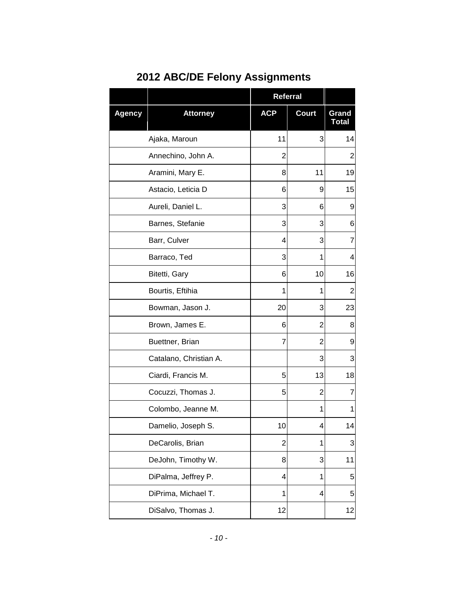|               |                        | Referral       |                |                       |
|---------------|------------------------|----------------|----------------|-----------------------|
| <b>Agency</b> | <b>Attorney</b>        | <b>ACP</b>     | <b>Court</b>   | Grand<br><b>Total</b> |
|               | Ajaka, Maroun          | 11             | 3              | 14                    |
|               | Annechino, John A.     | $\overline{2}$ |                | 2                     |
|               | Aramini, Mary E.       | 8              | 11             | 19                    |
|               | Astacio, Leticia D     | 6              | 9              | 15                    |
|               | Aureli, Daniel L.      | 3              | 6              | 9                     |
|               | Barnes, Stefanie       | 3              | 3              | 6                     |
|               | Barr, Culver           | 4              | 3              | 7                     |
|               | Barraco, Ted           | 3              | 1              | 4                     |
|               | Bitetti, Gary          | 6              | 10             | 16                    |
|               | Bourtis, Eftihia       | 1              | 1              | $\overline{2}$        |
|               | Bowman, Jason J.       | 20             | 3              | 23                    |
|               | Brown, James E.        | 6              | $\overline{2}$ | 8                     |
|               | Buettner, Brian        | 7              | $\overline{2}$ | 9                     |
|               | Catalano, Christian A. |                | 3              | 3                     |
|               | Ciardi, Francis M.     | 5              | 13             | 18                    |
|               | Cocuzzi, Thomas J.     | 5              | 2              | 7                     |
|               | Colombo, Jeanne M.     |                | 1              | 1                     |
|               | Damelio, Joseph S.     | 10             | 4              | 14                    |
|               | DeCarolis, Brian       | $\overline{2}$ | 1              | 3                     |
|               | DeJohn, Timothy W.     | 8              | 3              | 11                    |
|               | DiPalma, Jeffrey P.    | 4              | 1              | 5                     |
|               | DiPrima, Michael T.    | 1              | 4              | 5                     |
|               | DiSalvo, Thomas J.     | 12             |                | 12                    |

# **2012 ABC/DE Felony Assignments**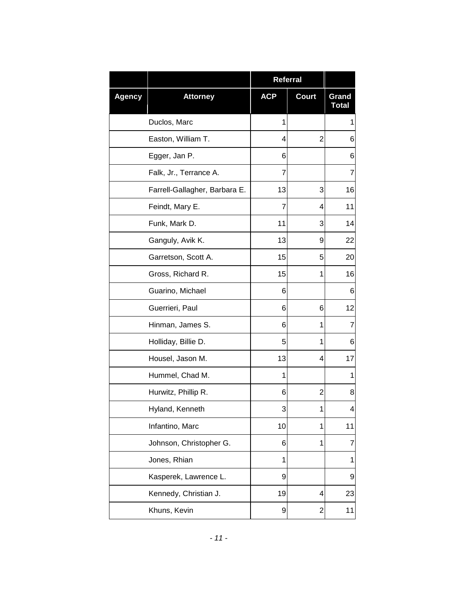|               |                               | Referral   |                         |                       |
|---------------|-------------------------------|------------|-------------------------|-----------------------|
| <b>Agency</b> | <b>Attorney</b>               | <b>ACP</b> | <b>Court</b>            | Grand<br><b>Total</b> |
|               | Duclos, Marc                  | 1          |                         | 1                     |
|               | Easton, William T.            | 4          | $\overline{2}$          | 6                     |
|               | Egger, Jan P.                 | 6          |                         | 6                     |
|               | Falk, Jr., Terrance A.        | 7          |                         | 7                     |
|               | Farrell-Gallagher, Barbara E. | 13         | 3                       | 16                    |
|               | Feindt, Mary E.               | 7          | 4                       | 11                    |
|               | Funk, Mark D.                 | 11         | 3                       | 14                    |
|               | Ganguly, Avik K.              | 13         | 9                       | 22                    |
|               | Garretson, Scott A.           | 15         | 5                       | 20                    |
|               | Gross, Richard R.             | 15         | 1                       | 16                    |
|               | Guarino, Michael              | 6          |                         | 6                     |
|               | Guerrieri, Paul               | 6          | 6                       | 12                    |
|               | Hinman, James S.              | 6          | 1                       | $\overline{7}$        |
|               | Holliday, Billie D.           | 5          | 1                       | 6                     |
|               | Housel, Jason M.              | 13         | 4                       | 17                    |
|               | Hummel, Chad M.               | 1          |                         | 1                     |
|               | Hurwitz, Phillip R.           | 6          | 2                       | 8                     |
|               | Hyland, Kenneth               | 3          | 1                       | $\overline{4}$        |
|               | Infantino, Marc               | 10         | 1                       | 11                    |
|               | Johnson, Christopher G.       | 6          | 1                       | 7                     |
|               | Jones, Rhian                  | 1          |                         | 1                     |
|               | Kasperek, Lawrence L.         | 9          |                         | 9                     |
|               | Kennedy, Christian J.         | 19         | 4                       | 23                    |
|               | Khuns, Kevin                  | 9          | $\overline{\mathbf{c}}$ | 11                    |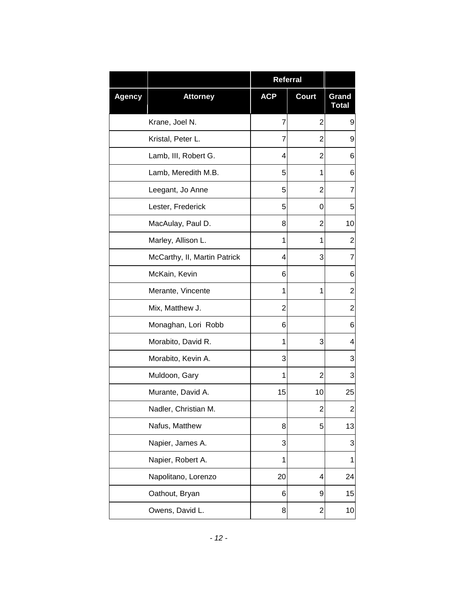|               |                              | <b>Referral</b> |                |                       |
|---------------|------------------------------|-----------------|----------------|-----------------------|
| <b>Agency</b> | <b>Attorney</b>              | <b>ACP</b>      | <b>Court</b>   | Grand<br><b>Total</b> |
|               | Krane, Joel N.               | 7               | $\overline{2}$ | 9                     |
|               | Kristal, Peter L.            | 7               | $\overline{2}$ | 9                     |
|               | Lamb, III, Robert G.         | 4               | 2              | 6                     |
|               | Lamb, Meredith M.B.          | 5               | 1              | 6                     |
|               | Leegant, Jo Anne             | 5               | 2              | $\overline{7}$        |
|               | Lester, Frederick            | 5               | 0              | 5                     |
|               | MacAulay, Paul D.            | 8               | 2              | 10                    |
|               | Marley, Allison L.           | 1               | 1              | $\overline{c}$        |
|               | McCarthy, II, Martin Patrick | 4               | 3              | 7                     |
|               | McKain, Kevin                | 6               |                | 6                     |
|               | Merante, Vincente            | 1               | 1              | $\overline{c}$        |
|               | Mix, Matthew J.              | 2               |                | $\overline{c}$        |
|               | Monaghan, Lori Robb          | 6               |                | 6                     |
|               | Morabito, David R.           | 1               | 3              | 4                     |
|               | Morabito, Kevin A.           | 3               |                | 3                     |
|               | Muldoon, Gary                | 1               | $\overline{2}$ | 3                     |
|               | Murante, David A.            | 15              | 10             | 25                    |
|               | Nadler, Christian M.         |                 | $\overline{2}$ | $\overline{2}$        |
|               | Nafus, Matthew               | 8               | 5              | 13                    |
|               | Napier, James A.             | 3               |                | 3                     |
|               | Napier, Robert A.            | 1               |                | 1                     |
|               | Napolitano, Lorenzo          | 20              | 4              | 24                    |
|               | Oathout, Bryan               | 6               | 9              | 15                    |
|               | Owens, David L.              | 8               | $\overline{c}$ | 10                    |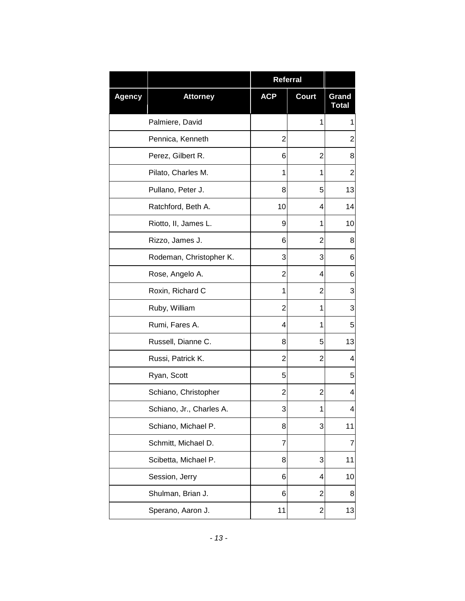|               |                          | <b>Referral</b> |                         |                       |
|---------------|--------------------------|-----------------|-------------------------|-----------------------|
| <b>Agency</b> | <b>Attorney</b>          | <b>ACP</b>      | <b>Court</b>            | Grand<br><b>Total</b> |
|               | Palmiere, David          |                 | 1                       | 1                     |
|               | Pennica, Kenneth         | 2               |                         | $\overline{2}$        |
|               | Perez, Gilbert R.        | 6               | $\overline{2}$          | 8                     |
|               | Pilato, Charles M.       | 1               | 1                       | $\overline{2}$        |
|               | Pullano, Peter J.        | 8               | 5                       | 13                    |
|               | Ratchford, Beth A.       | 10              | 4                       | 14                    |
|               | Riotto, II, James L.     | 9               | 1                       | 10                    |
|               | Rizzo, James J.          | 6               | 2                       | 8                     |
|               | Rodeman, Christopher K.  | 3               | 3                       | 6                     |
|               | Rose, Angelo A.          | 2               | 4                       | 6                     |
|               | Roxin, Richard C         | 1               | 2                       | 3                     |
|               | Ruby, William            | 2               | 1                       | 3                     |
|               | Rumi, Fares A.           | 4               | 1                       | 5                     |
|               | Russell, Dianne C.       | 8               | 5                       | 13                    |
|               | Russi, Patrick K.        | 2               | 2                       | 4                     |
|               | Ryan, Scott              | 5               |                         | 5                     |
|               | Schiano, Christopher     | 2               | 2                       | 4                     |
|               | Schiano, Jr., Charles A. | 3               | 1                       | 4                     |
|               | Schiano, Michael P.      | 8               | 3                       | 11                    |
|               | Schmitt, Michael D.      | 7               |                         | $\overline{7}$        |
|               | Scibetta, Michael P.     | 8               | 3                       | 11                    |
|               | Session, Jerry           | 6               | 4                       | 10                    |
|               | Shulman, Brian J.        | 6               | 2                       | 8                     |
|               | Sperano, Aaron J.        | 11              | $\overline{\mathbf{c}}$ | 13                    |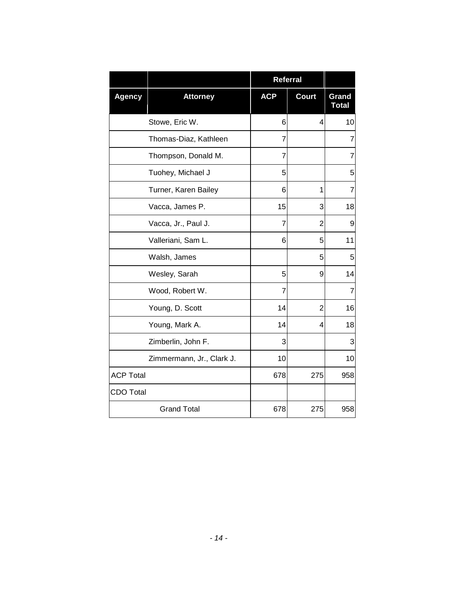|                  |                           |            | <b>Referral</b> |                       |
|------------------|---------------------------|------------|-----------------|-----------------------|
| <b>Agency</b>    | <b>Attorney</b>           | <b>ACP</b> | <b>Court</b>    | Grand<br><b>Total</b> |
|                  | Stowe, Eric W.            | 6          | 4               | 10                    |
|                  | Thomas-Diaz, Kathleen     | 7          |                 | 7                     |
|                  | Thompson, Donald M.       | 7          |                 | 7                     |
|                  | Tuohey, Michael J         | 5          |                 | 5                     |
|                  | Turner, Karen Bailey      | 6          | 1               | 7                     |
|                  | Vacca, James P.           | 15         | 3               | 18                    |
|                  | Vacca, Jr., Paul J.       | 7          | $\overline{2}$  | 9                     |
|                  | Valleriani, Sam L.        | 6          | 5               | 11                    |
|                  | Walsh, James              |            | 5               | 5                     |
|                  | Wesley, Sarah             | 5          | 9               | 14                    |
|                  | Wood, Robert W.           | 7          |                 | 7                     |
|                  | Young, D. Scott           | 14         | 2               | 16                    |
|                  | Young, Mark A.            | 14         | 4               | 18                    |
|                  | Zimberlin, John F.        | 3          |                 | 3                     |
|                  | Zimmermann, Jr., Clark J. | 10         |                 | 10                    |
| <b>ACP Total</b> |                           | 678        | 275             | 958                   |
| <b>CDO Total</b> |                           |            |                 |                       |
|                  | <b>Grand Total</b>        | 678        | 275             | 958                   |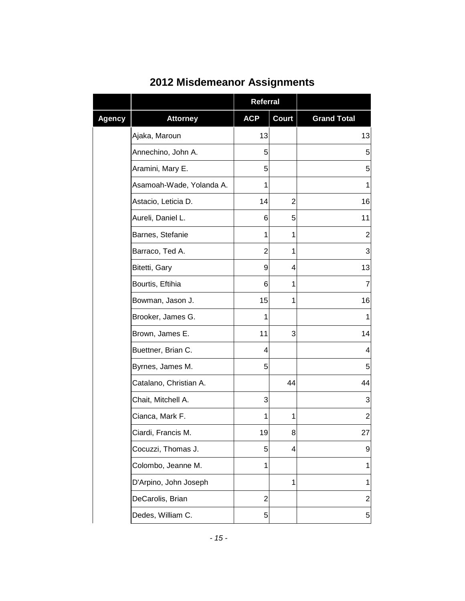|               |                          | <b>Referral</b> |                |                          |
|---------------|--------------------------|-----------------|----------------|--------------------------|
| <b>Agency</b> | <b>Attorney</b>          | <b>ACP</b>      | Court          | <b>Grand Total</b>       |
|               | Ajaka, Maroun            | 13              |                | 13                       |
|               | Annechino, John A.       | 5               |                | 5                        |
|               | Aramini, Mary E.         | 5               |                | 5                        |
|               | Asamoah-Wade, Yolanda A. | 1               |                | 1                        |
|               | Astacio, Leticia D.      | 14              | $\overline{c}$ | 16                       |
|               | Aureli, Daniel L.        | 6               | 5              | 11                       |
|               | Barnes, Stefanie         | 1               | 1              | $\overline{2}$           |
|               | Barraco, Ted A.          | $\overline{2}$  | 1              | 3                        |
|               | Bitetti, Gary            | 9               | 4              | 13                       |
|               | Bourtis, Eftihia         | 6               | 1              | 7                        |
|               | Bowman, Jason J.         | 15              | 1              | 16                       |
|               | Brooker, James G.        | 1               |                | 1                        |
|               | Brown, James E.          | 11              | 3              | 14                       |
|               | Buettner, Brian C.       | 4               |                | $\overline{\mathcal{A}}$ |
|               | Byrnes, James M.         | 5               |                | 5                        |
|               | Catalano, Christian A.   |                 | 44             | 44                       |
|               | Chait, Mitchell A.       | 3               |                | 3                        |
|               | Cianca, Mark F.          | 1               | 1              | $\overline{2}$           |
|               | Ciardi, Francis M.       | 19              | 8              | 27                       |
|               | Cocuzzi, Thomas J.       | 5               | 4              | 9                        |
|               | Colombo, Jeanne M.       | 1               |                | 1                        |
|               | D'Arpino, John Joseph    |                 | 1              | $\mathbf 1$              |
|               | DeCarolis, Brian         | $\overline{2}$  |                | 2                        |
|               | Dedes, William C.        | 5               |                | 5                        |

### **2012 Misdemeanor Assignments**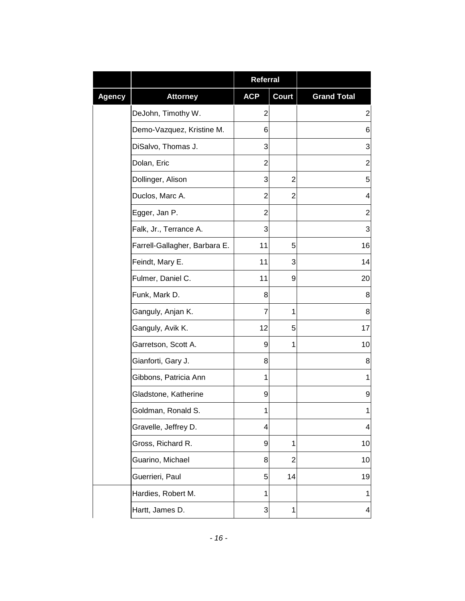|               |                               | <b>Referral</b> |                |                          |
|---------------|-------------------------------|-----------------|----------------|--------------------------|
| <b>Agency</b> | <b>Attorney</b>               | <b>ACP</b>      | <b>Court</b>   | <b>Grand Total</b>       |
|               | DeJohn, Timothy W.            | $\overline{c}$  |                | $\overline{c}$           |
|               | Demo-Vazquez, Kristine M.     | 6               |                | 6                        |
|               | DiSalvo, Thomas J.            | 3               |                | 3                        |
|               | Dolan, Eric                   | $\overline{2}$  |                | $\overline{2}$           |
|               | Dollinger, Alison             | 3               | $\overline{2}$ | 5                        |
|               | Duclos, Marc A.               | $\overline{c}$  | $\overline{2}$ | $\overline{\mathcal{A}}$ |
|               | Egger, Jan P.                 | $\overline{2}$  |                | $\overline{c}$           |
|               | Falk, Jr., Terrance A.        | 3               |                | 3                        |
|               | Farrell-Gallagher, Barbara E. | 11              | 5              | 16                       |
|               | Feindt, Mary E.               | 11              | 3              | 14                       |
|               | Fulmer, Daniel C.             | 11              | 9              | 20                       |
|               | Funk, Mark D.                 | 8               |                | 8                        |
|               | Ganguly, Anjan K.             | 7               | 1              | 8                        |
|               | Ganguly, Avik K.              | 12              | 5              | 17                       |
|               | Garretson, Scott A.           | 9               | 1              | 10                       |
|               | Gianforti, Gary J.            | 8               |                | 8                        |
|               | Gibbons, Patricia Ann         | 1               |                | 1                        |
|               | Gladstone, Katherine          | 9               |                | 9                        |
|               | Goldman, Ronald S.            | 1               |                | $\mathbf{1}$             |
|               | Gravelle, Jeffrey D.          | 4               |                | $\overline{\mathcal{A}}$ |
|               | Gross, Richard R.             | 9               | 1              | 10                       |
|               | Guarino, Michael              | 8               | $\overline{2}$ | 10                       |
|               | Guerrieri, Paul               | 5               | 14             | 19                       |
|               | Hardies, Robert M.            | 1               |                | $\mathbf{1}$             |
|               | Hartt, James D.               | 3               | 1              | $\overline{\mathbf{4}}$  |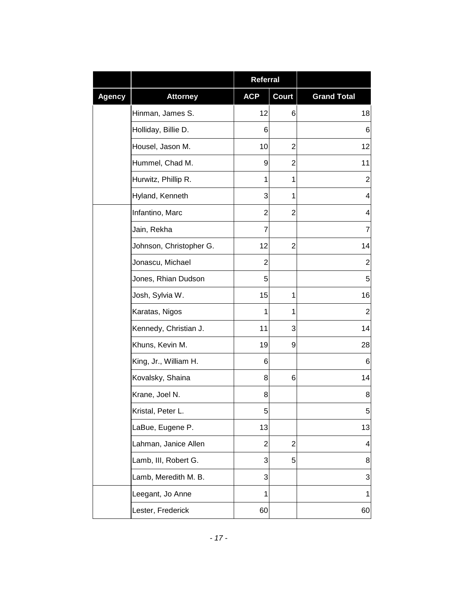|               |                         | Referral       |                |                    |
|---------------|-------------------------|----------------|----------------|--------------------|
| <b>Agency</b> | <b>Attorney</b>         | <b>ACP</b>     | <b>Court</b>   | <b>Grand Total</b> |
|               | Hinman, James S.        | 12             | 6              | 18                 |
|               | Holliday, Billie D.     | 6              |                | 6                  |
|               | Housel, Jason M.        | 10             | $\overline{2}$ | 12                 |
|               | Hummel, Chad M.         | 9              | 2              | 11                 |
|               | Hurwitz, Phillip R.     | 1              | 1              | $\overline{2}$     |
|               | Hyland, Kenneth         | 3              | 1              | 4                  |
|               | Infantino, Marc         | $\overline{2}$ | 2              | 4                  |
|               | Jain, Rekha             | 7              |                | 7                  |
|               | Johnson, Christopher G. | 12             | $\overline{2}$ | 14                 |
|               | Jonascu, Michael        | $\overline{2}$ |                | 2                  |
|               | Jones, Rhian Dudson     | 5              |                | 5                  |
|               | Josh, Sylvia W.         | 15             | 1              | 16                 |
|               | Karatas, Nigos          | 1              | 1              | $\overline{2}$     |
|               | Kennedy, Christian J.   | 11             | 3              | 14                 |
|               | Khuns, Kevin M.         | 19             | 9              | 28                 |
|               | King, Jr., William H.   | 6              |                | 6                  |
|               | Kovalsky, Shaina        | 8              | 6              | 14                 |
|               | Krane, Joel N.          | 8              |                | 8                  |
|               | Kristal, Peter L.       | 5              |                | $\overline{5}$     |
|               | LaBue, Eugene P.        | 13             |                | 13                 |
|               | Lahman, Janice Allen    | $\overline{2}$ | $\overline{2}$ | 4                  |
|               | Lamb, III, Robert G.    | 3              | 5              | 8                  |
|               | Lamb, Meredith M. B.    | 3              |                | 3                  |
|               | Leegant, Jo Anne        | 1              |                | 1                  |
|               | Lester, Frederick       | 60             |                | 60                 |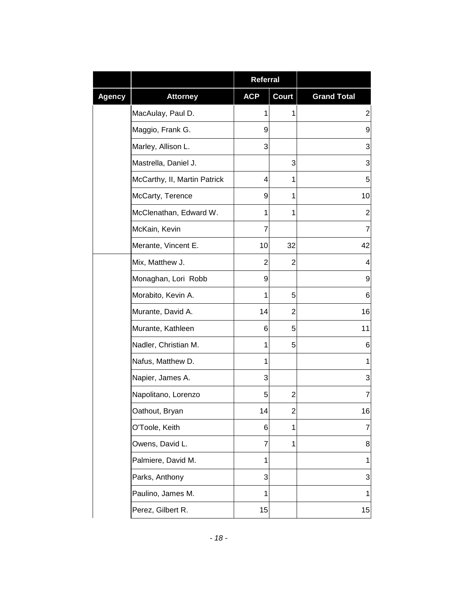|               |                              | <b>Referral</b> |                         |                         |
|---------------|------------------------------|-----------------|-------------------------|-------------------------|
| <b>Agency</b> | <b>Attorney</b>              | <b>ACP</b>      | <b>Court</b>            | <b>Grand Total</b>      |
|               | MacAulay, Paul D.            | 1               | 1                       | $\overline{\mathbf{c}}$ |
|               | Maggio, Frank G.             | 9               |                         | 9                       |
|               | Marley, Allison L.           | 3               |                         | 3                       |
|               | Mastrella, Daniel J.         |                 | 3                       | 3                       |
|               | McCarthy, II, Martin Patrick | 4               | 1                       | 5                       |
|               | McCarty, Terence             | 9               | 1                       | 10                      |
|               | McClenathan, Edward W.       | 1               | 1                       | 2                       |
|               | McKain, Kevin                | 7               |                         | $\overline{7}$          |
|               | Merante, Vincent E.          | 10              | 32                      | 42                      |
|               | Mix, Matthew J.              | 2               | 2                       | 4                       |
|               | Monaghan, Lori Robb          | 9               |                         | 9                       |
|               | Morabito, Kevin A.           | 1               | 5                       | 6                       |
|               | Murante, David A.            | 14              | 2                       | 16                      |
|               | Murante, Kathleen            | 6               | 5                       | 11                      |
|               | Nadler, Christian M.         | 1               | 5                       | 6                       |
|               | Nafus, Matthew D.            | 1               |                         | 1                       |
|               | Napier, James A.             | 3               |                         | 3                       |
|               | Napolitano, Lorenzo          | 5               | 2                       | 7                       |
|               | Oathout, Bryan               | 14              | $\overline{\mathbf{c}}$ | 16                      |
|               | O'Toole, Keith               | 6               | 1                       | 7                       |
|               | Owens, David L.              | 7               | $\mathbf{1}$            | 8                       |
|               | Palmiere, David M.           | 1               |                         | 1                       |
|               | Parks, Anthony               | 3               |                         | 3                       |
|               | Paulino, James M.            | 1               |                         | $\mathbf 1$             |
|               | Perez, Gilbert R.            | 15              |                         | 15                      |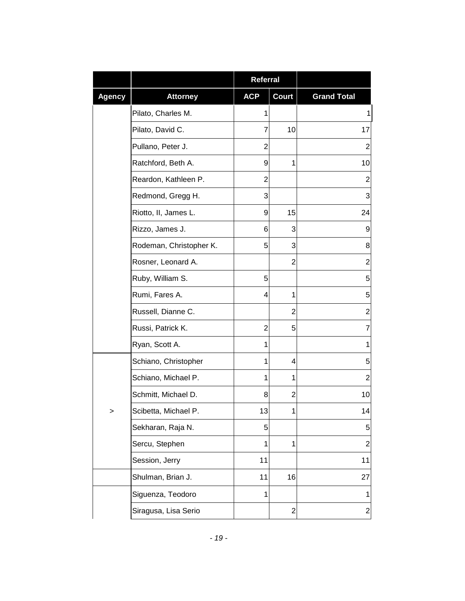|               |                         | Referral       |                         |                    |
|---------------|-------------------------|----------------|-------------------------|--------------------|
| <b>Agency</b> | <b>Attorney</b>         | <b>ACP</b>     | <b>Court</b>            | <b>Grand Total</b> |
|               | Pilato, Charles M.      | 1              |                         | 1                  |
|               | Pilato, David C.        | 7              | 10                      | 17                 |
|               | Pullano, Peter J.       | $\overline{2}$ |                         | $\overline{2}$     |
|               | Ratchford, Beth A.      | 9              | 1                       | 10                 |
|               | Reardon, Kathleen P.    | $\overline{2}$ |                         | $\overline{2}$     |
|               | Redmond, Gregg H.       | 3              |                         | 3                  |
|               | Riotto, II, James L.    | 9              | 15                      | 24                 |
|               | Rizzo, James J.         | 6              | 3                       | 9                  |
|               | Rodeman, Christopher K. | 5              | 3                       | 8                  |
|               | Rosner, Leonard A.      |                | 2                       | $\overline{2}$     |
|               | Ruby, William S.        | 5              |                         | 5                  |
|               | Rumi, Fares A.          | 4              | 1                       | 5                  |
|               | Russell, Dianne C.      |                | $\overline{2}$          | $\overline{c}$     |
|               | Russi, Patrick K.       | $\overline{2}$ | 5                       | 7                  |
|               | Ryan, Scott A.          | 1              |                         | 1                  |
|               | Schiano, Christopher    | 1              | 4                       | 5                  |
|               | Schiano, Michael P.     | 1              | 1                       | $\overline{2}$     |
|               | Schmitt, Michael D.     | 8              | 2                       | 10                 |
| ⋗             | Scibetta, Michael P.    | 13             | 1                       | 14                 |
|               | Sekharan, Raja N.       | 5              |                         | 5                  |
|               | Sercu, Stephen          | 1              | 1                       | $\overline{2}$     |
|               | Session, Jerry          | 11             |                         | 11                 |
|               | Shulman, Brian J.       | 11             | 16                      | 27                 |
|               | Siguenza, Teodoro       | 1              |                         | 1                  |
|               | Siragusa, Lisa Serio    |                | $\overline{\mathbf{c}}$ | $\overline{c}$     |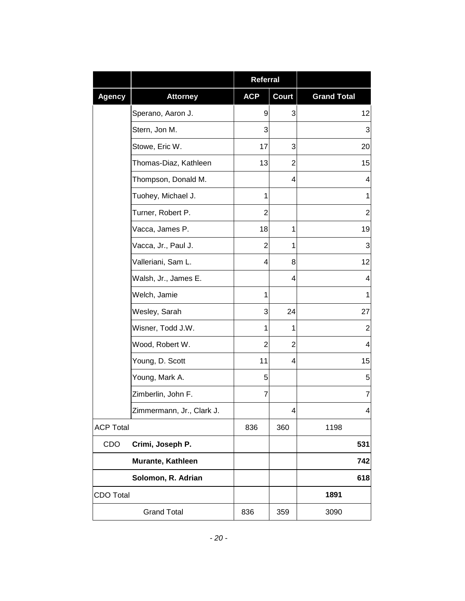|                  |                           | <b>Referral</b> |              |                    |
|------------------|---------------------------|-----------------|--------------|--------------------|
| <b>Agency</b>    | <b>Attorney</b>           | <b>ACP</b>      | <b>Court</b> | <b>Grand Total</b> |
|                  | Sperano, Aaron J.         | 9               | 3            | 12                 |
|                  | Stern, Jon M.             | 3               |              | 3                  |
|                  | Stowe, Eric W.            | 17              | 3            | 20                 |
|                  | Thomas-Diaz, Kathleen     | 13              | 2            | 15                 |
|                  | Thompson, Donald M.       |                 | 4            | 4                  |
|                  | Tuohey, Michael J.        | 1               |              | 1                  |
|                  | Turner, Robert P.         | 2               |              | $\overline{2}$     |
|                  | Vacca, James P.           | 18              | 1            | 19                 |
|                  | Vacca, Jr., Paul J.       | $\overline{2}$  | 1            | 3                  |
|                  | Valleriani, Sam L.        | 4               | 8            | 12                 |
|                  | Walsh, Jr., James E.      |                 | 4            | 4                  |
|                  | Welch, Jamie              | 1               |              | 1                  |
|                  | Wesley, Sarah             | 3               | 24           | 27                 |
|                  | Wisner, Todd J.W.         | 1               | 1            | 2                  |
|                  | Wood, Robert W.           | $\overline{2}$  | 2            | $\overline{4}$     |
|                  | Young, D. Scott           | 11              | 4            | 15                 |
|                  | Young, Mark A.            | 5               |              | 5                  |
|                  | Zimberlin, John F.        | 7               |              | 7                  |
|                  | Zimmermann, Jr., Clark J. |                 | 4            | 4                  |
| <b>ACP Total</b> |                           | 836             | 360          | 1198               |
| CDO              | Crimi, Joseph P.          |                 |              | 531                |
|                  | Murante, Kathleen         |                 |              | 742                |
|                  | Solomon, R. Adrian        |                 |              | 618                |
| <b>CDO Total</b> |                           |                 |              | 1891               |
|                  | <b>Grand Total</b>        | 836             | 359          | 3090               |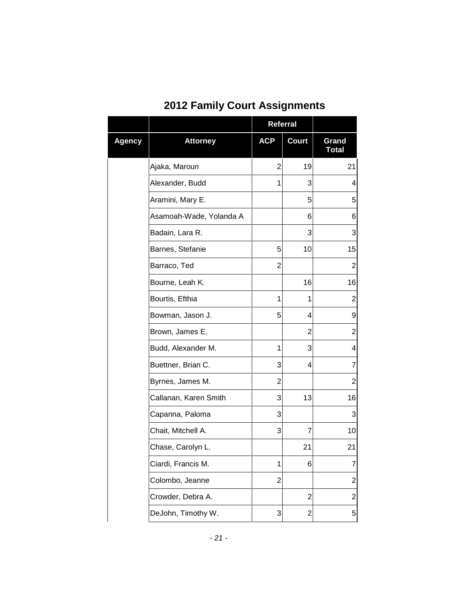| <b>2012 Family Court Assignments</b> |  |
|--------------------------------------|--|
|--------------------------------------|--|

|        |                         | <b>Referral</b> |                |                       |
|--------|-------------------------|-----------------|----------------|-----------------------|
| Agency | <b>Attorney</b>         | <b>ACP</b>      | <b>Court</b>   | Grand<br><b>Total</b> |
|        | Ajaka, Maroun           | 2               | 19             | 21                    |
|        | Alexander, Budd         | 1               | 3              | 4                     |
|        | Aramini, Mary E.        |                 | 5              | 5                     |
|        | Asamoah-Wade, Yolanda A |                 | 6              | 6                     |
|        | Badain, Lara R.         |                 | 3              | 3                     |
|        | Barnes, Stefanie        | 5               | 10             | 15                    |
|        | Barraco, Ted            | 2               |                | 2                     |
|        | Bourne, Leah K.         |                 | 16             | 16                    |
|        | Bourtis, Efthia         | 1               | 1              | $\overline{2}$        |
|        | Bowman, Jason J.        | 5               | 4              | 9                     |
|        | Brown, James E.         |                 | 2              | $\overline{2}$        |
|        | Budd, Alexander M.      | 1               | 3              | 4                     |
|        | Buettner, Brian C.      | 3               | 4              | 7                     |
|        | Byrnes, James M.        | 2               |                | $\overline{2}$        |
|        | Callanan, Karen Smith   | 3               | 13             | 16                    |
|        | Capanna, Paloma         | 3               |                | 3                     |
|        | Chait, Mitchell A.      | 3               | 7              | 10                    |
|        | Chase, Carolyn L.       |                 | 21             | 21                    |
|        | Ciardi, Francis M.      | 1               | 6              | 7                     |
|        | Colombo, Jeanne         | $\overline{2}$  |                | $\overline{2}$        |
|        | Crowder, Debra A.       |                 | $\overline{2}$ | $\overline{2}$        |
|        | DeJohn, Timothy W.      | 3               | 2              | 5                     |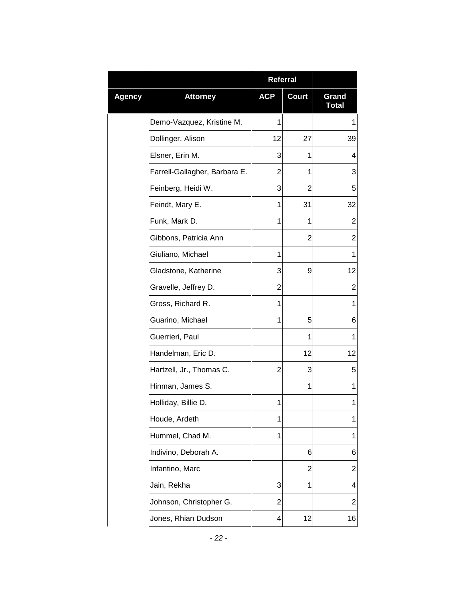|        |                               | <b>Referral</b> |              |                       |
|--------|-------------------------------|-----------------|--------------|-----------------------|
| Agency | <b>Attorney</b>               | <b>ACP</b>      | <b>Court</b> | Grand<br><b>Total</b> |
|        | Demo-Vazquez, Kristine M.     | 1               |              | 1                     |
|        | Dollinger, Alison             | 12              | 27           | 39                    |
|        | Elsner, Erin M.               | 3               | 1            | 4                     |
|        | Farrell-Gallagher, Barbara E. | 2               | 1            | 3                     |
|        | Feinberg, Heidi W.            | 3               | 2            | 5                     |
|        | Feindt, Mary E.               | 1               | 31           | 32                    |
|        | Funk, Mark D.                 | 1               | 1            | $\mathbf 2$           |
|        | Gibbons, Patricia Ann         |                 | 2            | $\overline{c}$        |
|        | Giuliano, Michael             | 1               |              | 1                     |
|        | Gladstone, Katherine          | 3               | 9            | 12                    |
|        | Gravelle, Jeffrey D.          | 2               |              | $\overline{2}$        |
|        | Gross, Richard R.             | 1               |              | 1                     |
|        | Guarino, Michael              | 1               | 5            | 6                     |
|        | Guerrieri, Paul               |                 | 1            | 1                     |
|        | Handelman, Eric D.            |                 | 12           | 12                    |
|        | Hartzell, Jr., Thomas C.      | 2               | 3            | 5                     |
|        | Hinman, James S.              |                 | 1            | 1                     |
|        | Holliday, Billie D.           | 1               |              | 1                     |
|        | Houde, Ardeth                 | 1               |              | 1                     |
|        | Hummel, Chad M.               | 1               |              | 1                     |
|        | Indivino, Deborah A.          |                 | 6            | $\,6$                 |
|        | Infantino, Marc               |                 | 2            | $\overline{c}$        |
|        | Jain, Rekha                   | 3               | 1            | 4                     |
|        | Johnson, Christopher G.       | 2               |              | $\overline{c}$        |
|        | Jones, Rhian Dudson           | 4               | 12           | 16                    |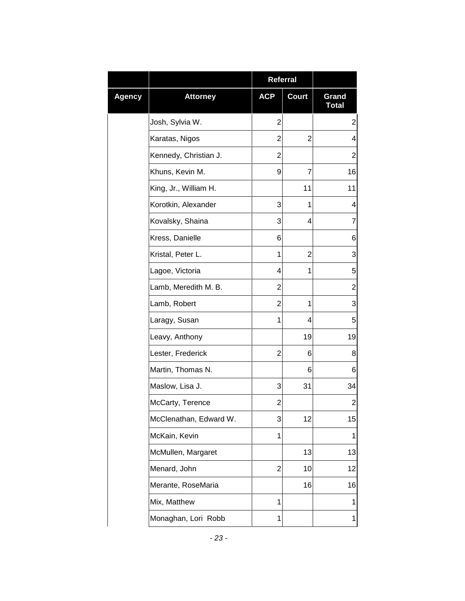|        |                        | Referral       |              |                         |
|--------|------------------------|----------------|--------------|-------------------------|
| Agency | <b>Attorney</b>        | <b>ACP</b>     | <b>Court</b> | Grand<br><b>Total</b>   |
|        | Josh, Sylvia W.        | $\overline{2}$ |              | $\boldsymbol{2}$        |
|        | Karatas, Nigos         | 2              | 2            | 4                       |
|        | Kennedy, Christian J.  | 2              |              | $\overline{2}$          |
|        | Khuns, Kevin M.        | 9              | 7            | 16                      |
|        | King, Jr., William H.  |                | 11           | 11                      |
|        | Korotkin, Alexander    | 3              | 1            | 4                       |
|        | Kovalsky, Shaina       | 3              | 4            | 7                       |
|        | Kress, Danielle        | 6              |              | 6                       |
|        | Kristal, Peter L.      | 1              | 2            | 3                       |
|        | Lagoe, Victoria        | 4              | 1            | 5                       |
|        | Lamb, Meredith M. B.   | $\overline{2}$ |              | $\overline{\mathbf{c}}$ |
|        | Lamb, Robert           | 2              | 1            | 3                       |
|        | Laragy, Susan          | 1              | 4            | 5                       |
|        | Leavy, Anthony         |                | 19           | 19                      |
|        | Lester, Frederick      | 2              | 6            | 8                       |
|        | Martin, Thomas N.      |                | 6            | 6                       |
|        | Maslow, Lisa J.        | 3              | 31           | 34                      |
|        | McCarty, Terence       | 2              |              | 2                       |
|        | McClenathan, Edward W. | 3              | 12           | 15                      |
|        | McKain, Kevin          | 1              |              | 1                       |
|        | McMullen, Margaret     |                | 13           | 13                      |
|        | Menard, John           | $\overline{2}$ | 10           | 12                      |
|        | Merante, RoseMaria     |                | 16           | 16                      |
|        | Mix, Matthew           | 1              |              | 1                       |
|        | Monaghan, Lori Robb    | 1              |              | 1                       |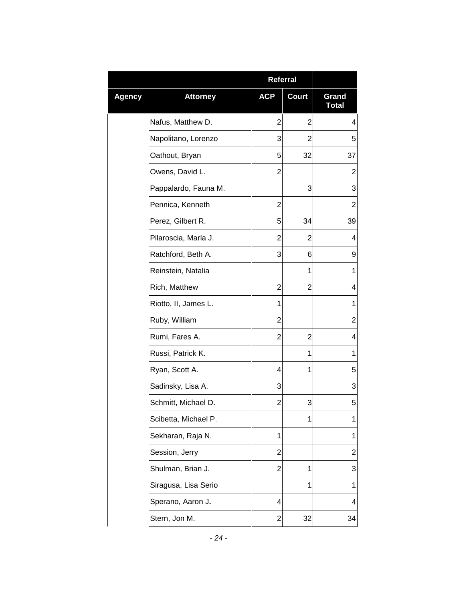|        |                      | Referral       |                |                         |
|--------|----------------------|----------------|----------------|-------------------------|
| Agency | <b>Attorney</b>      | <b>ACP</b>     | <b>Court</b>   | Grand<br><b>Total</b>   |
|        | Nafus, Matthew D.    | 2              | $\overline{2}$ | $\overline{\mathbf{4}}$ |
|        | Napolitano, Lorenzo  | 3              | 2              | 5                       |
|        | Oathout, Bryan       | 5              | 32             | 37                      |
|        | Owens, David L.      | $\overline{2}$ |                | $\overline{2}$          |
|        | Pappalardo, Fauna M. |                | 3              | 3                       |
|        | Pennica, Kenneth     | 2              |                | $\overline{2}$          |
|        | Perez, Gilbert R.    | 5              | 34             | 39                      |
|        | Pilaroscia, Marla J. | 2              | 2              | 4                       |
|        | Ratchford, Beth A.   | 3              | 6              | 9                       |
|        | Reinstein, Natalia   |                | 1              | 1                       |
|        | Rich, Matthew        | 2              | 2              | 4                       |
|        | Riotto, II, James L. | 1              |                | 1                       |
|        | Ruby, William        | 2              |                | $\overline{\mathbf{c}}$ |
|        | Rumi, Fares A.       | 2              | 2              | 4                       |
|        | Russi, Patrick K.    |                | 1              | 1                       |
|        | Ryan, Scott A.       | 4              | 1              | 5                       |
|        | Sadinsky, Lisa A.    | 3              |                | 3                       |
|        | Schmitt, Michael D.  | 2              | 3              | 5                       |
|        | Scibetta, Michael P. |                | 1              | 1                       |
|        | Sekharan, Raja N.    | 1              |                | 1                       |
|        | Session, Jerry       | 2              |                | $\overline{\mathbf{c}}$ |
|        | Shulman, Brian J.    | $\overline{2}$ | 1              | 3                       |
|        | Siragusa, Lisa Serio |                | 1              | 1                       |
|        | Sperano, Aaron J.    | 4              |                | 4                       |
|        | Stern, Jon M.        | 2              | 32             | 34                      |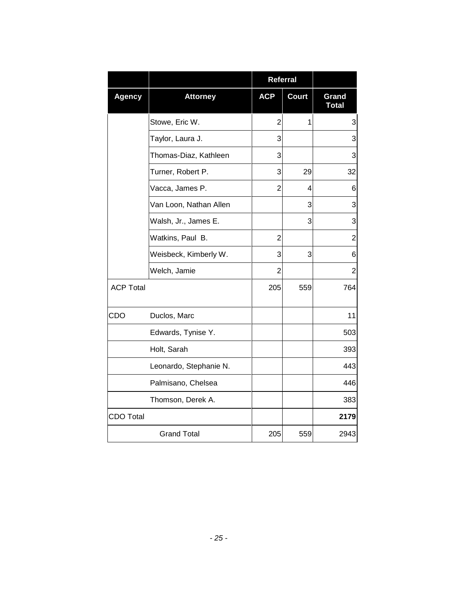|                  |                        | <b>Referral</b> |              |                |
|------------------|------------------------|-----------------|--------------|----------------|
| <b>Agency</b>    | <b>Attorney</b>        | <b>ACP</b>      | <b>Court</b> | Grand<br>Total |
|                  | Stowe, Eric W.         | $\overline{2}$  | 1            | 3              |
|                  | Taylor, Laura J.       | 3               |              | 3              |
|                  | Thomas-Diaz, Kathleen  | 3               |              | 3              |
|                  | Turner, Robert P.      | 3               | 29           | 32             |
|                  | Vacca, James P.        | $\overline{2}$  | 4            | 6              |
|                  | Van Loon, Nathan Allen |                 | 3            | 3              |
|                  | Walsh, Jr., James E.   |                 | 3            | 3              |
|                  | Watkins, Paul B.       | $\overline{2}$  |              | $\overline{c}$ |
|                  | Weisbeck, Kimberly W.  | 3               | 3            | 6              |
|                  | Welch, Jamie           | $\overline{2}$  |              | $\overline{2}$ |
| <b>ACP Total</b> |                        | 205             | 559          | 764            |
| CDO              | Duclos, Marc           |                 |              | 11             |
|                  | Edwards, Tynise Y.     |                 |              | 503            |
|                  | Holt, Sarah            |                 |              | 393            |
|                  | Leonardo, Stephanie N. |                 |              | 443            |
|                  | Palmisano, Chelsea     |                 |              | 446            |
|                  | Thomson, Derek A.      |                 |              | 383            |
| <b>CDO Total</b> |                        |                 |              | 2179           |
|                  | <b>Grand Total</b>     | 205             | 559          | 2943           |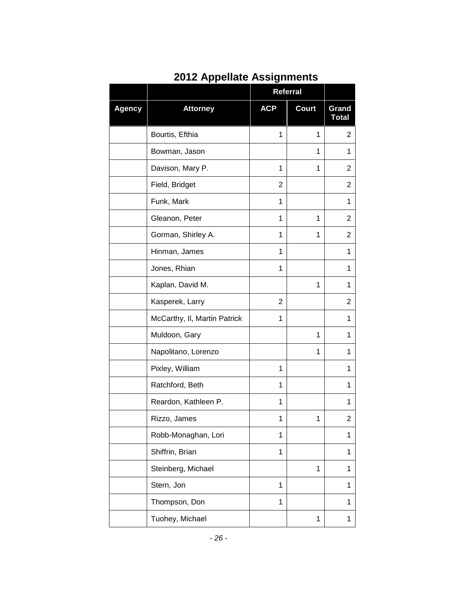|        |                              | <b>Referral</b> |              |                       |
|--------|------------------------------|-----------------|--------------|-----------------------|
| Agency | <b>Attorney</b>              | <b>ACP</b>      | <b>Court</b> | Grand<br><b>Total</b> |
|        | Bourtis, Efthia              | 1               | 1            | $\overline{2}$        |
|        | Bowman, Jason                |                 | 1            | 1                     |
|        | Davison, Mary P.             | 1               | 1            | 2                     |
|        | Field, Bridget               | 2               |              | 2                     |
|        | Funk, Mark                   | 1               |              | 1                     |
|        | Gleanon, Peter               | 1               | 1            | 2                     |
|        | Gorman, Shirley A.           | 1               | 1            | 2                     |
|        | Hinman, James                | 1               |              | 1                     |
|        | Jones, Rhian                 | 1               |              | 1                     |
|        | Kaplan, David M.             |                 | 1            | 1                     |
|        | Kasperek, Larry              | $\overline{2}$  |              | 2                     |
|        | McCarthy, II, Martin Patrick | 1               |              | 1                     |
|        | Muldoon, Gary                |                 | 1            | 1                     |
|        | Napolitano, Lorenzo          |                 | 1            | 1                     |
|        | Pixley, William              | 1               |              | 1                     |
|        | Ratchford, Beth              | 1               |              | 1                     |
|        | Reardon, Kathleen P.         | 1               |              | 1                     |
|        | Rizzo, James                 | 1               | 1            | 2                     |
|        | Robb-Monaghan, Lori          | 1               |              | 1                     |
|        | Shiffrin, Brian              | $\mathbf 1$     |              | 1                     |
|        | Steinberg, Michael           |                 | 1            | 1                     |
|        | Stern, Jon                   | 1               |              | 1                     |
|        | Thompson, Don                | $\mathbf 1$     |              | 1                     |
|        | Tuohey, Michael              |                 | 1            | 1                     |

### **2012 Appellate Assignments**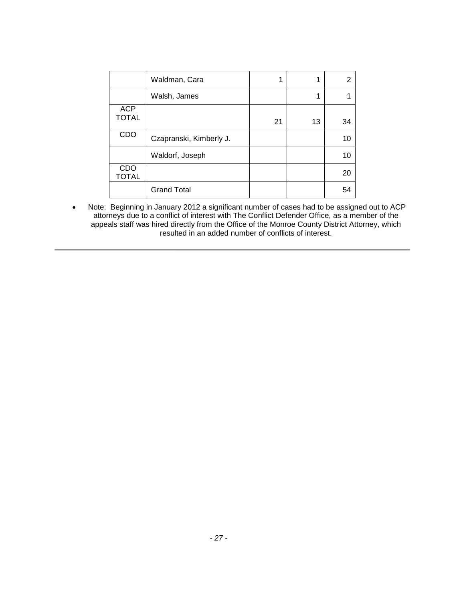|                            | Waldman, Cara           |    |    | 2  |
|----------------------------|-------------------------|----|----|----|
|                            | Walsh, James            |    |    |    |
| <b>ACP</b><br><b>TOTAL</b> |                         | 21 | 13 | 34 |
| CDO                        | Czapranski, Kimberly J. |    |    | 10 |
|                            | Waldorf, Joseph         |    |    | 10 |
| CDO<br><b>TOTAL</b>        |                         |    |    | 20 |
|                            | <b>Grand Total</b>      |    |    | 54 |

• Note: Beginning in January 2012 a significant number of cases had to be assigned out to ACP attorneys due to a conflict of interest with The Conflict Defender Office, as a member of the appeals staff was hired directly from the Office of the Monroe County District Attorney, which resulted in an added number of conflicts of interest.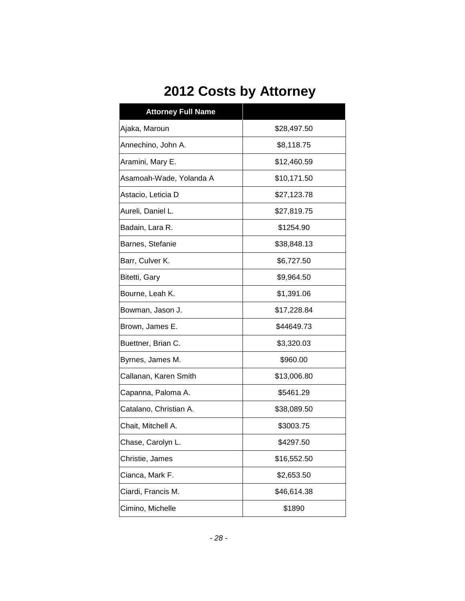# **2012 Costs by Attorney**

| <b>Attorney Full Name</b> |             |  |  |  |
|---------------------------|-------------|--|--|--|
| Ajaka, Maroun             | \$28,497.50 |  |  |  |
| Annechino, John A.        | \$8,118.75  |  |  |  |
| Aramini, Mary E.          | \$12,460.59 |  |  |  |
| Asamoah-Wade, Yolanda A   | \$10,171.50 |  |  |  |
| Astacio, Leticia D        | \$27,123.78 |  |  |  |
| Aureli, Daniel L.         | \$27,819.75 |  |  |  |
| Badain, Lara R.           | \$1254.90   |  |  |  |
| Barnes, Stefanie          | \$38,848.13 |  |  |  |
| Barr, Culver K.           | \$6,727.50  |  |  |  |
| Bitetti, Gary             | \$9,964.50  |  |  |  |
| Bourne, Leah K.           | \$1,391.06  |  |  |  |
| Bowman, Jason J.          | \$17,228.84 |  |  |  |
| Brown, James E.           | \$44649.73  |  |  |  |
| Buettner, Brian C.        | \$3,320.03  |  |  |  |
| Byrnes, James M.          | \$960.00    |  |  |  |
| Callanan, Karen Smith     | \$13,006.80 |  |  |  |
| Capanna, Paloma A.        | \$5461.29   |  |  |  |
| Catalano, Christian A.    | \$38,089.50 |  |  |  |
| Chait, Mitchell A.        | \$3003.75   |  |  |  |
| Chase, Carolyn L.         | \$4297.50   |  |  |  |
| Christie, James           | \$16,552.50 |  |  |  |
| Cianca, Mark F.           | \$2,653.50  |  |  |  |
| Ciardi, Francis M.        | \$46,614.38 |  |  |  |
| Cimino, Michelle          | \$1890      |  |  |  |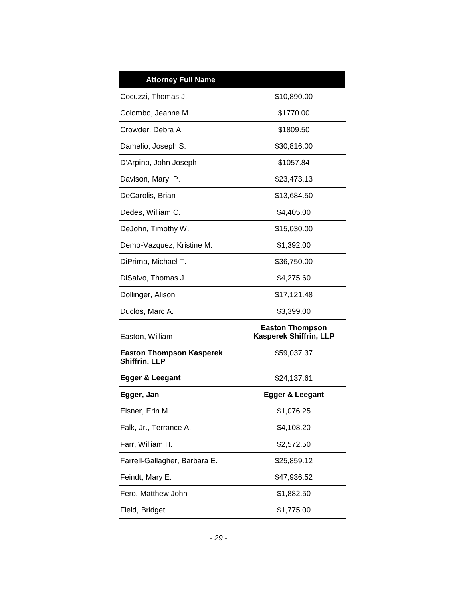| <b>Attorney Full Name</b>                        |                                                         |  |  |
|--------------------------------------------------|---------------------------------------------------------|--|--|
| Cocuzzi, Thomas J.                               | \$10,890.00                                             |  |  |
| Colombo, Jeanne M.                               | \$1770.00                                               |  |  |
| Crowder, Debra A.                                | \$1809.50                                               |  |  |
| Damelio, Joseph S.                               | \$30,816.00                                             |  |  |
| D'Arpino, John Joseph                            | \$1057.84                                               |  |  |
| Davison, Mary P.                                 | \$23,473.13                                             |  |  |
| DeCarolis, Brian                                 | \$13,684.50                                             |  |  |
| Dedes, William C.                                | \$4,405.00                                              |  |  |
| DeJohn, Timothy W.                               | \$15,030.00                                             |  |  |
| Demo-Vazquez, Kristine M.                        | \$1,392.00                                              |  |  |
| DiPrima, Michael T.                              | \$36,750.00                                             |  |  |
| DiSalvo, Thomas J.                               | \$4,275.60                                              |  |  |
| Dollinger, Alison                                | \$17,121.48                                             |  |  |
| Duclos, Marc A.                                  | \$3,399.00                                              |  |  |
| Easton, William                                  | <b>Easton Thompson</b><br><b>Kasperek Shiffrin, LLP</b> |  |  |
| <b>Easton Thompson Kasperek</b><br>Shiffrin, LLP | \$59,037.37                                             |  |  |
| Egger & Leegant                                  | \$24,137.61                                             |  |  |
| Egger, Jan                                       | Egger & Leegant                                         |  |  |
| Elsner, Erin M.                                  | \$1,076.25                                              |  |  |
| Falk, Jr., Terrance A.                           | \$4,108.20                                              |  |  |
| Farr, William H.                                 | \$2,572.50                                              |  |  |
| Farrell-Gallagher, Barbara E.                    | \$25,859.12                                             |  |  |
| Feindt, Mary E.                                  | \$47,936.52                                             |  |  |
| Fero, Matthew John                               | \$1,882.50                                              |  |  |
| Field, Bridget                                   | \$1,775.00                                              |  |  |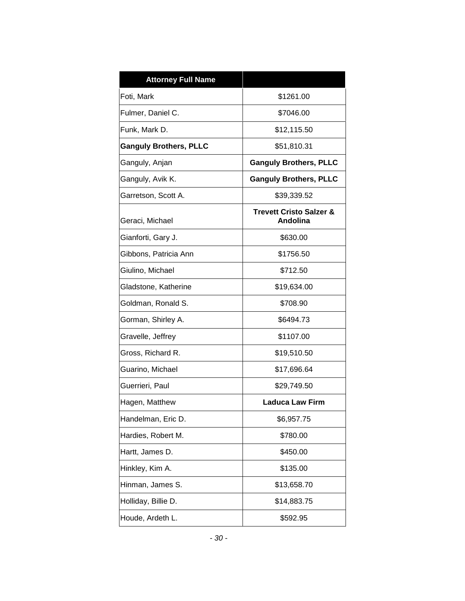| <b>Attorney Full Name</b>     |                                                |  |  |
|-------------------------------|------------------------------------------------|--|--|
| Foti, Mark                    | \$1261.00                                      |  |  |
| Fulmer, Daniel C.             | \$7046.00                                      |  |  |
| Funk, Mark D.                 | \$12,115.50                                    |  |  |
| <b>Ganguly Brothers, PLLC</b> | \$51,810.31                                    |  |  |
| Ganguly, Anjan                | <b>Ganguly Brothers, PLLC</b>                  |  |  |
| Ganguly, Avik K.              | <b>Ganguly Brothers, PLLC</b>                  |  |  |
| Garretson, Scott A.           | \$39,339.52                                    |  |  |
| Geraci, Michael               | <b>Trevett Cristo Salzer &amp;</b><br>Andolina |  |  |
| Gianforti, Gary J.            | \$630.00                                       |  |  |
| Gibbons, Patricia Ann         | \$1756.50                                      |  |  |
| Giulino, Michael              | \$712.50                                       |  |  |
| Gladstone, Katherine          | \$19,634.00                                    |  |  |
| Goldman, Ronald S.            | \$708.90                                       |  |  |
| Gorman, Shirley A.            | \$6494.73                                      |  |  |
| Gravelle, Jeffrey             | \$1107.00                                      |  |  |
| Gross, Richard R.             | \$19,510.50                                    |  |  |
| Guarino, Michael              | \$17,696.64                                    |  |  |
| Guerrieri, Paul               | \$29,749.50                                    |  |  |
| Hagen, Matthew                | <b>Laduca Law Firm</b>                         |  |  |
| Handelman, Eric D.            | \$6,957.75                                     |  |  |
| Hardies, Robert M.            | \$780.00                                       |  |  |
| Hartt, James D.               | \$450.00                                       |  |  |
| Hinkley, Kim A.               | \$135.00                                       |  |  |
| Hinman, James S.              | \$13,658.70                                    |  |  |
| Holliday, Billie D.           | \$14,883.75                                    |  |  |
| Houde, Ardeth L.              | \$592.95                                       |  |  |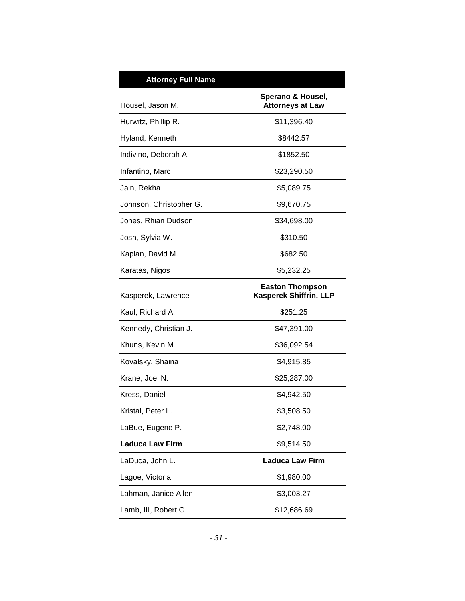| <b>Attorney Full Name</b> |                                                         |  |
|---------------------------|---------------------------------------------------------|--|
| Housel, Jason M.          | Sperano & Housel,<br><b>Attorneys at Law</b>            |  |
| Hurwitz, Phillip R.       | \$11,396.40                                             |  |
| Hyland, Kenneth           | \$8442.57                                               |  |
| Indivino, Deborah A.      | \$1852.50                                               |  |
| Infantino, Marc           | \$23,290.50                                             |  |
| Jain, Rekha               | \$5,089.75                                              |  |
| Johnson, Christopher G.   | \$9,670.75                                              |  |
| Jones, Rhian Dudson       | \$34,698.00                                             |  |
| Josh, Sylvia W.           | \$310.50                                                |  |
| Kaplan, David M.          | \$682.50                                                |  |
| Karatas, Nigos            | \$5,232.25                                              |  |
| Kasperek, Lawrence        | <b>Easton Thompson</b><br><b>Kasperek Shiffrin, LLP</b> |  |
| Kaul, Richard A.          | \$251.25                                                |  |
| Kennedy, Christian J.     | \$47,391.00                                             |  |
| Khuns, Kevin M.           | \$36,092.54                                             |  |
| Kovalsky, Shaina          | \$4,915.85                                              |  |
| Krane, Joel N.            | \$25,287.00                                             |  |
| Kress, Daniel             | \$4,942.50                                              |  |
| Kristal, Peter L          | \$3,508.50                                              |  |
| LaBue, Eugene P.          | \$2,748.00                                              |  |
| <b>Laduca Law Firm</b>    | \$9,514.50                                              |  |
| LaDuca, John L.           | <b>Laduca Law Firm</b>                                  |  |
| Lagoe, Victoria           | \$1,980.00                                              |  |
| Lahman, Janice Allen      | \$3,003.27                                              |  |
| Lamb, III, Robert G.      | \$12,686.69                                             |  |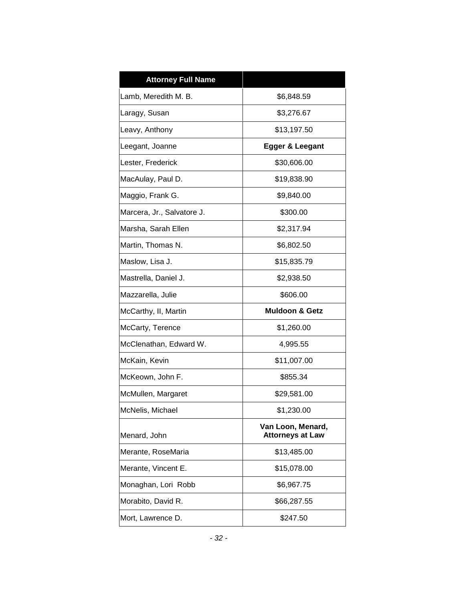| <b>Attorney Full Name</b>  |                                              |  |  |
|----------------------------|----------------------------------------------|--|--|
| Lamb, Meredith M. B.       | \$6,848.59                                   |  |  |
| Laragy, Susan              | \$3,276.67                                   |  |  |
| Leavy, Anthony             | \$13,197.50                                  |  |  |
| Leegant, Joanne            | Egger & Leegant                              |  |  |
| Lester, Frederick          | \$30,606.00                                  |  |  |
| MacAulay, Paul D.          | \$19,838.90                                  |  |  |
| Maggio, Frank G.           | \$9,840.00                                   |  |  |
| Marcera, Jr., Salvatore J. | \$300.00                                     |  |  |
| Marsha, Sarah Ellen        | \$2,317.94                                   |  |  |
| Martin, Thomas N.          | \$6,802.50                                   |  |  |
| Maslow, Lisa J.            | \$15,835.79                                  |  |  |
| Mastrella, Daniel J.       | \$2,938.50                                   |  |  |
| Mazzarella, Julie          | \$606.00                                     |  |  |
| McCarthy, II, Martin       | <b>Muldoon &amp; Getz</b>                    |  |  |
| McCarty, Terence           | \$1,260.00                                   |  |  |
| McClenathan, Edward W.     | 4,995.55                                     |  |  |
| McKain, Kevin              | \$11,007.00                                  |  |  |
| McKeown, John F.           | \$855.34                                     |  |  |
| McMullen, Margaret         | \$29,581.00                                  |  |  |
| McNelis, Michael           | \$1,230.00                                   |  |  |
| Menard, John               | Van Loon, Menard,<br><b>Attorneys at Law</b> |  |  |
| Merante, RoseMaria         | \$13,485.00                                  |  |  |
| Merante, Vincent E.        | \$15,078.00                                  |  |  |
| Monaghan, Lori Robb        | \$6,967.75                                   |  |  |
| Morabito, David R.         | \$66,287.55                                  |  |  |
| Mort, Lawrence D.          | \$247.50                                     |  |  |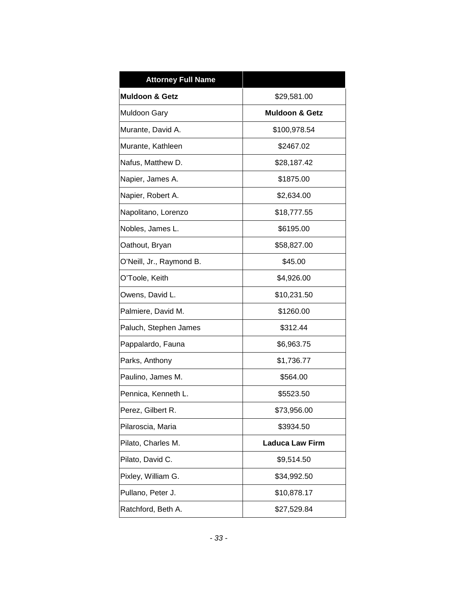| <b>Attorney Full Name</b> |                           |  |  |
|---------------------------|---------------------------|--|--|
| Muldoon & Getz            | \$29,581.00               |  |  |
| <b>Muldoon Gary</b>       | <b>Muldoon &amp; Getz</b> |  |  |
| Murante, David A.         | \$100,978.54              |  |  |
| Murante, Kathleen         | \$2467.02                 |  |  |
| Nafus, Matthew D.         | \$28,187.42               |  |  |
| Napier, James A.          | \$1875.00                 |  |  |
| Napier, Robert A.         | \$2,634.00                |  |  |
| Napolitano, Lorenzo       | \$18,777.55               |  |  |
| Nobles, James L.          | \$6195.00                 |  |  |
| Oathout, Bryan            | \$58,827.00               |  |  |
| O'Neill, Jr., Raymond B.  | \$45.00                   |  |  |
| O'Toole, Keith            | \$4,926.00                |  |  |
| Owens, David L.           | \$10,231.50               |  |  |
| Palmiere, David M.        | \$1260.00                 |  |  |
| Paluch, Stephen James     | \$312.44                  |  |  |
| Pappalardo, Fauna         | \$6,963.75                |  |  |
| Parks, Anthony            | \$1,736.77                |  |  |
| Paulino, James M.         | \$564.00                  |  |  |
| Pennica, Kenneth L.       | \$5523.50                 |  |  |
| Perez, Gilbert R          | \$73,956.00               |  |  |
| Pilaroscia, Maria         | \$3934.50                 |  |  |
| Pilato, Charles M.        | <b>Laduca Law Firm</b>    |  |  |
| Pilato, David C.          | \$9,514.50                |  |  |
| Pixley, William G.        | \$34,992.50               |  |  |
| Pullano, Peter J.         | \$10,878.17               |  |  |
| Ratchford, Beth A.        | \$27,529.84               |  |  |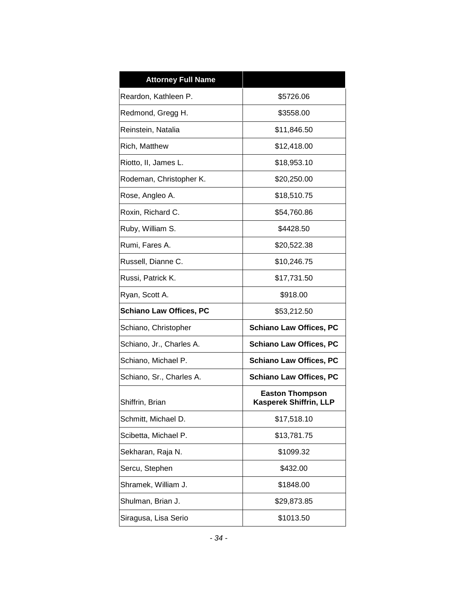| <b>Attorney Full Name</b>      |                                                         |  |  |
|--------------------------------|---------------------------------------------------------|--|--|
| Reardon, Kathleen P.           | \$5726.06                                               |  |  |
| Redmond, Gregg H.              | \$3558.00                                               |  |  |
| Reinstein, Natalia             | \$11,846.50                                             |  |  |
| Rich, Matthew                  | \$12,418.00                                             |  |  |
| Riotto, II, James L.           | \$18,953.10                                             |  |  |
| Rodeman, Christopher K.        | \$20,250.00                                             |  |  |
| Rose, Angleo A.                | \$18,510.75                                             |  |  |
| Roxin, Richard C.              | \$54,760.86                                             |  |  |
| Ruby, William S.               | \$4428.50                                               |  |  |
| Rumi, Fares A.                 | \$20,522.38                                             |  |  |
| Russell, Dianne C.             | \$10,246.75                                             |  |  |
| Russi, Patrick K.              | \$17,731.50                                             |  |  |
| Ryan, Scott A.                 | \$918.00                                                |  |  |
| <b>Schiano Law Offices, PC</b> | \$53,212.50                                             |  |  |
| Schiano, Christopher           | <b>Schiano Law Offices, PC</b>                          |  |  |
| Schiano, Jr., Charles A.       | <b>Schiano Law Offices, PC</b>                          |  |  |
| Schiano, Michael P.            | <b>Schiano Law Offices, PC</b>                          |  |  |
| Schiano, Sr., Charles A.       | <b>Schiano Law Offices, PC</b>                          |  |  |
| Shiffrin, Brian                | <b>Easton Thompson</b><br><b>Kasperek Shiffrin, LLP</b> |  |  |
| Schmitt, Michael D.            | \$17,518.10                                             |  |  |
| Scibetta, Michael P.           | \$13,781.75                                             |  |  |
| Sekharan, Raja N.              | \$1099.32                                               |  |  |
| Sercu, Stephen                 | \$432.00                                                |  |  |
| Shramek, William J.            | \$1848.00                                               |  |  |
| Shulman, Brian J.              | \$29,873.85                                             |  |  |
| Siragusa, Lisa Serio           | \$1013.50                                               |  |  |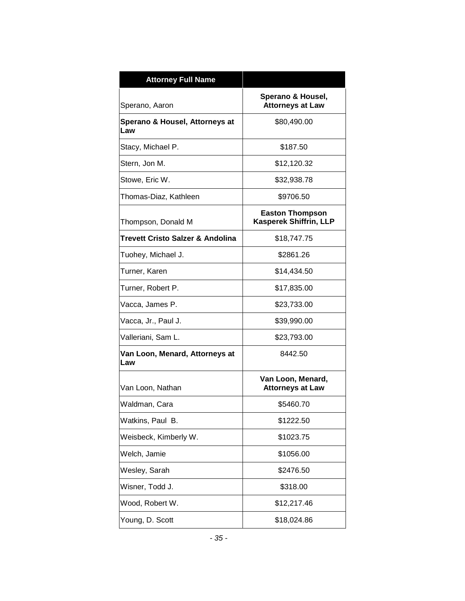| <b>Attorney Full Name</b>             |                                                  |  |  |
|---------------------------------------|--------------------------------------------------|--|--|
| Sperano, Aaron                        | Sperano & Housel,<br><b>Attorneys at Law</b>     |  |  |
| Sperano & Housel, Attorneys at<br>Law | \$80,490.00                                      |  |  |
| Stacy, Michael P.                     | \$187.50                                         |  |  |
| Stern, Jon M.                         | \$12,120.32                                      |  |  |
| Stowe, Eric W.                        | \$32,938.78                                      |  |  |
| Thomas-Diaz, Kathleen                 | \$9706.50                                        |  |  |
| Thompson, Donald M                    | <b>Easton Thompson</b><br>Kasperek Shiffrin, LLP |  |  |
| Trevett Cristo Salzer & Andolina      | \$18,747.75                                      |  |  |
| Tuohey, Michael J.                    | \$2861.26                                        |  |  |
| Turner, Karen                         | \$14,434.50                                      |  |  |
| Turner, Robert P.                     | \$17,835.00                                      |  |  |
| Vacca, James P.                       | \$23,733.00                                      |  |  |
| Vacca, Jr., Paul J.                   | \$39,990.00                                      |  |  |
| Valleriani, Sam L.                    | \$23,793.00                                      |  |  |
| Van Loon, Menard, Attorneys at<br>Law | 8442.50                                          |  |  |
| Van Loon, Nathan                      | Van Loon, Menard,<br><b>Attorneys at Law</b>     |  |  |
| Waldman, Cara                         | \$5460.70                                        |  |  |
| Watkins, Paul B.                      | \$1222.50                                        |  |  |
| Weisbeck, Kimberly W.                 | \$1023.75                                        |  |  |
| Welch, Jamie                          | \$1056.00                                        |  |  |
| Wesley, Sarah                         | \$2476.50                                        |  |  |
| Wisner, Todd J.                       | \$318.00                                         |  |  |
| Wood, Robert W.                       | \$12,217.46                                      |  |  |
| Young, D. Scott                       | \$18,024.86                                      |  |  |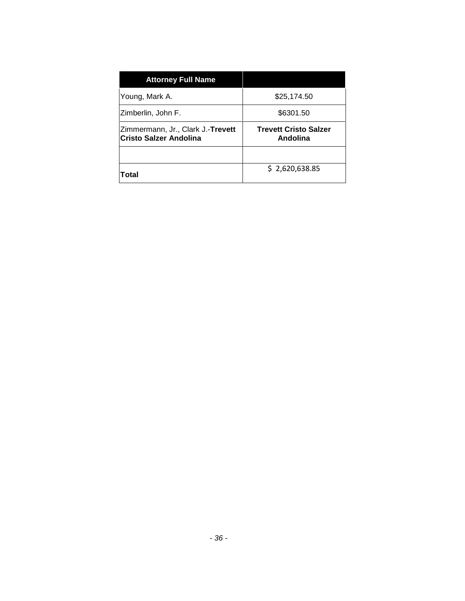| \$25,174.50                              |  |  |
|------------------------------------------|--|--|
| \$6301.50                                |  |  |
| <b>Trevett Cristo Salzer</b><br>Andolina |  |  |
|                                          |  |  |
| \$2,620,638.85                           |  |  |
|                                          |  |  |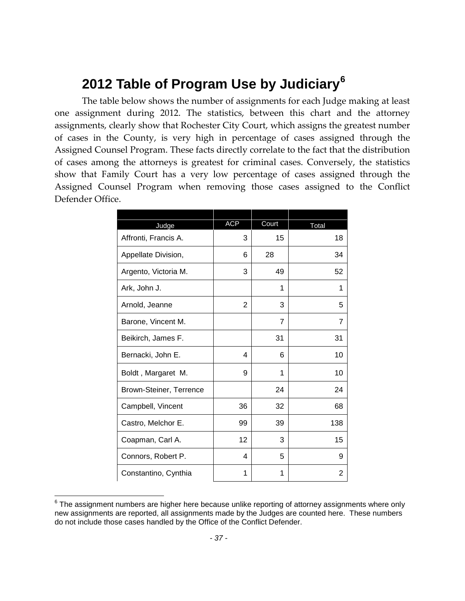# **2012 Table of Program Use by Judiciary[6](#page-38-0)**

The table below shows the number of assignments for each Judge making at least one assignment during 2012. The statistics, between this chart and the attorney assignments, clearly show that Rochester City Court, which assigns the greatest number of cases in the County, is very high in percentage of cases assigned through the Assigned Counsel Program. These facts directly correlate to the fact that the distribution of cases among the attorneys is greatest for criminal cases. Conversely, the statistics show that Family Court has a very low percentage of cases assigned through the Assigned Counsel Program when removing those cases assigned to the Conflict Defender Office.

| Judge                   | <b>ACP</b>     | Court          | Total          |
|-------------------------|----------------|----------------|----------------|
| Affronti, Francis A.    | 3              | 15             | 18             |
| Appellate Division,     | 6              | 28             | 34             |
| Argento, Victoria M.    | 3              | 49             | 52             |
| Ark, John J.            |                | 1              | 1              |
| Arnold, Jeanne          | $\overline{2}$ | 3              | 5              |
| Barone, Vincent M.      |                | $\overline{7}$ | $\overline{7}$ |
| Beikirch, James F.      |                | 31             | 31             |
| Bernacki, John E.       | 4              | 6              | 10             |
| Boldt, Margaret M.      | 9              | 1              | 10             |
| Brown-Steiner, Terrence |                | 24             | 24             |
| Campbell, Vincent       | 36             | 32             | 68             |
| Castro, Melchor E.      | 99             | 39             | 138            |
| Coapman, Carl A.        | 12             | 3              | 15             |
| Connors, Robert P.      | 4              | 5              | 9              |
| Constantino, Cynthia    | 1              | 1              | 2              |

<span id="page-38-0"></span> $6$  The assignment numbers are higher here because unlike reporting of attorney assignments where only new assignments are reported, all assignments made by the Judges are counted here. These numbers do not include those cases handled by the Office of the Conflict Defender.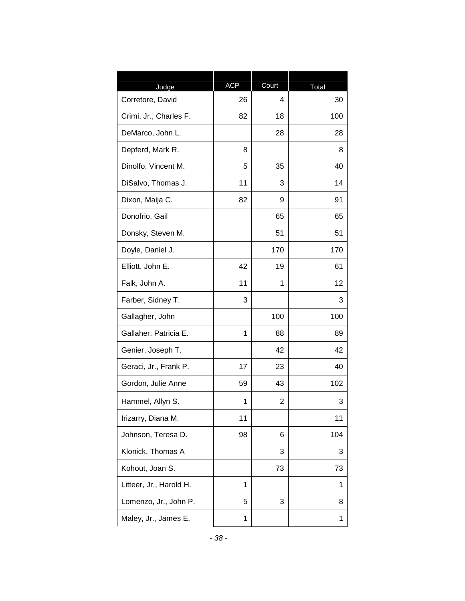|                           | <b>ACP</b> | Court          |             |
|---------------------------|------------|----------------|-------------|
| Judge<br>Corretore, David | 26         | 4              | Total<br>30 |
| Crimi, Jr., Charles F.    | 82         | 18             | 100         |
| DeMarco, John L.          |            | 28             | 28          |
| Depferd, Mark R.          | 8          |                | 8           |
| Dinolfo, Vincent M.       | 5          | 35             | 40          |
| DiSalvo, Thomas J.        | 11         | 3              | 14          |
| Dixon, Maija C.           | 82         | 9              | 91          |
| Donofrio, Gail            |            | 65             | 65          |
| Donsky, Steven M.         |            | 51             | 51          |
| Doyle, Daniel J.          |            | 170            | 170         |
| Elliott, John E.          | 42         | 19             | 61          |
| Falk, John A.             | 11         | 1              | 12          |
| Farber, Sidney T.         | 3          |                | 3           |
| Gallagher, John           |            | 100            | 100         |
| Gallaher, Patricia E.     | 1          | 88             | 89          |
| Genier, Joseph T.         |            | 42             | 42          |
| Geraci, Jr., Frank P.     | 17         | 23             | 40          |
| Gordon, Julie Anne        | 59         | 43             | 102         |
| Hammel, Allyn S.          | 1          | $\overline{2}$ | 3           |
| Irizarry, Diana M.        | 11         |                | 11          |
| Johnson, Teresa D.        | 98         | 6              | 104         |
| Klonick, Thomas A         |            | 3              | 3           |
| Kohout, Joan S.           |            | 73             | 73          |
| Litteer, Jr., Harold H.   | 1          |                | 1           |
| Lomenzo, Jr., John P.     | 5          | 3              | 8           |
| Maley, Jr., James E.      | 1          |                | 1           |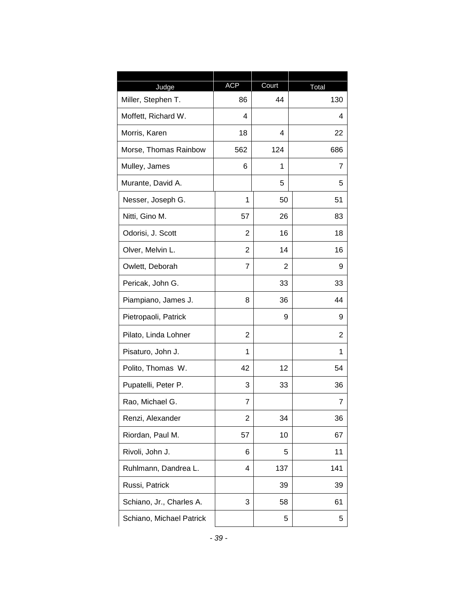| Judge                    | <b>ACP</b>     | Court | Total |
|--------------------------|----------------|-------|-------|
| Miller, Stephen T.       | 86             | 44    | 130   |
| Moffett, Richard W.      | 4              |       | 4     |
| Morris, Karen            | 18             | 4     | 22    |
| Morse, Thomas Rainbow    | 562            | 124   | 686   |
| Mulley, James            | 6              | 1     | 7     |
| Murante, David A.        |                | 5     | 5     |
| Nesser, Joseph G.        | 1              | 50    | 51    |
| Nitti, Gino M.           | 57             | 26    | 83    |
| Odorisi, J. Scott        | 2              | 16    | 18    |
| Olver, Melvin L.         | $\overline{2}$ | 14    | 16    |
| Owlett, Deborah          | 7              | 2     | 9     |
| Pericak, John G.         |                | 33    | 33    |
| Piampiano, James J.      | 8              | 36    | 44    |
| Pietropaoli, Patrick     |                | 9     | 9     |
| Pilato, Linda Lohner     | 2              |       | 2     |
| Pisaturo, John J.        | 1              |       | 1     |
| Polito, Thomas W.        | 42             | 12    | 54    |
| Pupatelli, Peter P.      | 3              | 33    | 36    |
| Rao, Michael G.          | 7              |       | 7     |
| Renzi, Alexander         | $\overline{2}$ | 34    | 36    |
| Riordan, Paul M.         | 57             | 10    | 67    |
| Rivoli, John J.          | 6              | 5     | 11    |
| Ruhlmann, Dandrea L.     | 4              | 137   | 141   |
| Russi, Patrick           |                | 39    | 39    |
| Schiano, Jr., Charles A. | 3              | 58    | 61    |
| Schiano, Michael Patrick |                | 5     | 5     |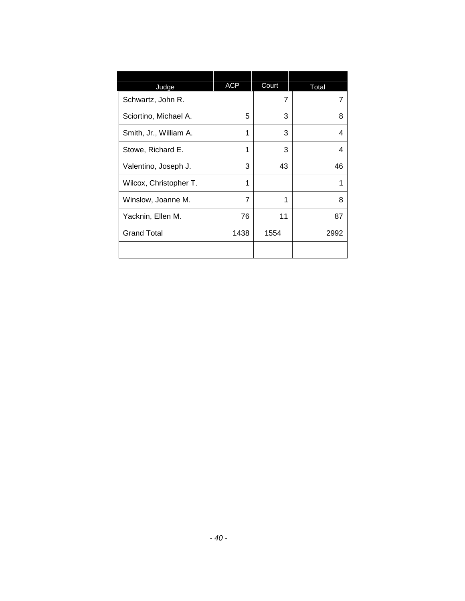| Judge                  | <b>ACP</b> | Court          | Total |
|------------------------|------------|----------------|-------|
| Schwartz, John R.      |            | $\overline{7}$ |       |
| Sciortino, Michael A.  | 5          | 3              | 8     |
| Smith, Jr., William A. | 1          | 3              | 4     |
| Stowe, Richard E.      | 1          | 3              | 4     |
| Valentino, Joseph J.   | 3          | 43             | 46    |
| Wilcox, Christopher T. | 1          |                | 1     |
| Winslow, Joanne M.     | 7          | 1              | 8     |
| Yacknin, Ellen M.      | 76         | 11             | 87    |
| <b>Grand Total</b>     | 1438       | 1554           | 2992  |
|                        |            |                |       |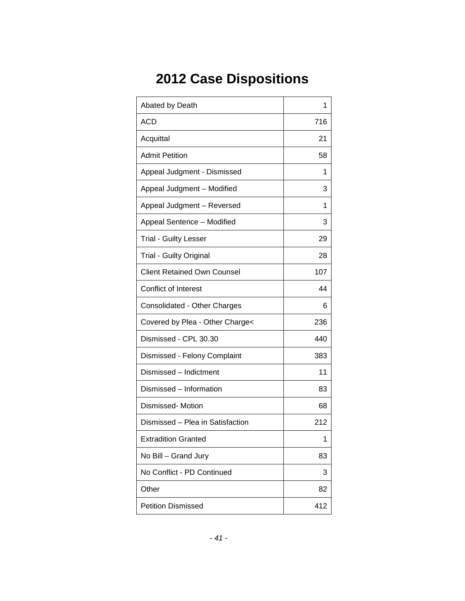# **2012 Case Dispositions**

| Abated by Death                    | 1   |
|------------------------------------|-----|
| <b>ACD</b>                         | 716 |
| Acquittal                          | 21  |
| <b>Admit Petition</b>              | 58  |
| Appeal Judgment - Dismissed        | 1   |
| Appeal Judgment - Modified         | 3   |
| Appeal Judgment - Reversed         | 1   |
| Appeal Sentence - Modified         | 3   |
| <b>Trial - Guilty Lesser</b>       | 29  |
| <b>Trial - Guilty Original</b>     | 28  |
| <b>Client Retained Own Counsel</b> | 107 |
| <b>Conflict of Interest</b>        | 44  |
| Consolidated - Other Charges       | 6   |
| Covered by Plea - Other Charge<    | 236 |
| Dismissed - CPL 30.30              | 440 |
| Dismissed - Felony Complaint       | 383 |
| Dismissed - Indictment             | 11  |
| Dismissed - Information            | 83  |
| Dismissed- Motion                  | 68  |
| Dismissed - Plea in Satisfaction   | 212 |
| <b>Extradition Granted</b>         | 1   |
| No Bill - Grand Jury               | 83  |
| No Conflict - PD Continued         | 3   |
| Other                              | 82  |
| <b>Petition Dismissed</b>          | 412 |